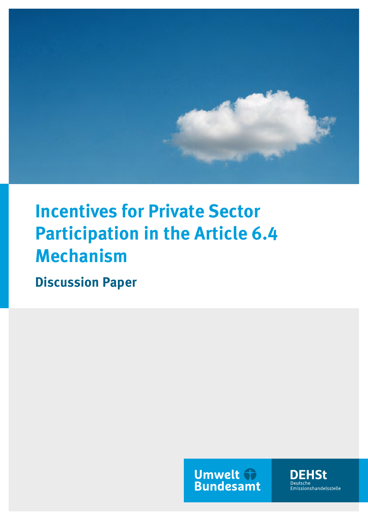

# **Incentives for Private Sector Participation in the Article 6.4 Mechanism**

**Discussion Paper**

**Umwelt & Bundesamt** 

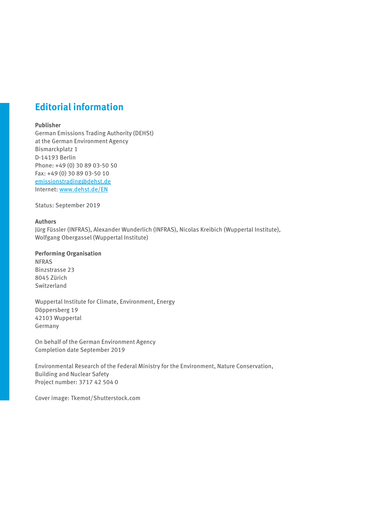# **Editorial information**

#### **Publisher**

German Emissions Trading Authority (DEHSt) at the German Environment Agency Bismarckplatz 1 D-14193 Berlin Phone: +49 (0) 30 89 03-50 50 Fax: +49 (0) 30 89 03-50 10 emissionstrading@dehst.de Internet: www.dehst.de/EN

Status: September 2019

#### **Authors**

Jürg Füssler (INFRAS), Alexander Wunderlich (INFRAS), Nicolas Kreibich (Wuppertal Institute), Wolfgang Obergassel (Wuppertal Institute)

#### **Performing Organisation**

NFRAS Binzstrasse 23 8045 Zürich Switzerland

Wuppertal Institute for Climate, Environment, Energy Döppersberg 19 42103 Wuppertal Germany

On behalf of the German Environment Agency Completion date September 2019

Environmental Research of the Federal Ministry for the Environment, Nature Conservation, Building and Nuclear Safety Project number: 3717 42 504 0

Cover image: Tkemot/Shutterstock.com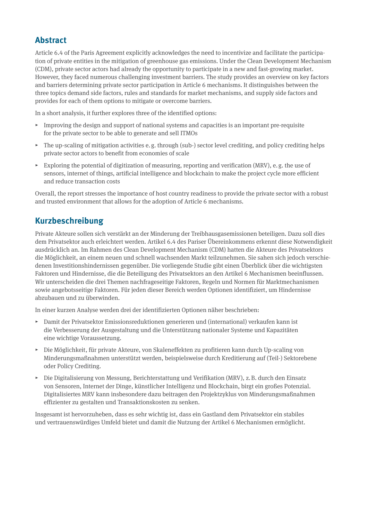# **Abstract**

Article 6.4 of the Paris Agreement explicitly acknowledges the need to incentivize and facilitate the participation of private entities in the mitigation of greenhouse gas emissions. Under the Clean Development Mechanism (CDM), private sector actors had already the opportunity to participate in a new and fast-growing market. However, they faced numerous challenging investment barriers. The study provides an overview on key factors and barriers determining private sector participation in Article 6 mechanisms. It distinguishes between the three topics demand side factors, rules and standards for market mechanisms, and supply side factors and provides for each of them options to mitigate or overcome barriers.

In a short analysis, it further explores three of the identified options:

- ▸ Improving the design and support of national systems and capacities is an important pre-requisite for the private sector to be able to generate and sell ITMOs
- $\triangleright$  The up-scaling of mitigation activities e.g. through (sub-) sector level crediting, and policy crediting helps private sector actors to benefit from economies of scale
- $\triangleright$  Exploring the potential of digitization of measuring, reporting and verification (MRV), e.g. the use of sensors, internet of things, artificial intelligence and blockchain to make the project cycle more efficient and reduce transaction costs

Overall, the report stresses the importance of host country readiness to provide the private sector with a robust and trusted environment that allows for the adoption of Article 6 mechanisms.

## **Kurzbeschreibung**

Private Akteure sollen sich verstärkt an der Minderung der Treibhausgasemissionen beteiligen. Dazu soll dies dem Privatsektor auch erleichtert werden. Artikel 6.4 des Pariser Übereinkommens erkennt diese Notwendigkeit ausdrücklich an. Im Rahmen des Clean Development Mechanism (CDM) hatten die Akteure des Privatsektors die Möglichkeit, an einem neuen und schnell wachsenden Markt teilzunehmen. Sie sahen sich jedoch verschiedenen Investitionshindernissen gegenüber. Die vorliegende Studie gibt einen Überblick über die wichtigsten Faktoren und Hindernisse, die die Beteiligung des Privatsektors an den Artikel 6 Mechanismen beeinflussen. Wir unterscheiden die drei Themen nachfrageseitige Faktoren, Regeln und Normen für Marktmechanismen sowie angebotsseitige Faktoren. Für jeden dieser Bereich werden Optionen identifiziert, um Hindernisse abzubauen und zu überwinden.

In einer kurzen Analyse werden drei der identifizierten Optionen näher beschrieben:

- ▸ Damit der Privatsektor Emissionsreduktionen generieren und (international) verkaufen kann ist die Verbesserung der Ausgestaltung und die Unterstützung nationaler Systeme und Kapazitäten eine wichtige Voraussetzung.
- ▸ Die Möglichkeit, für private Akteure, von Skaleneffekten zu profitieren kann durch Up-scaling von Minderungsmaßnahmen unterstützt werden, beispielsweise durch Kreditierung auf (Teil-) Sektorebene oder Policy Crediting.
- $\triangleright$  Die Digitalisierung von Messung, Berichterstattung und Verifikation (MRV), z.B. durch den Einsatz von Sensoren, Internet der Dinge, künstlicher Intelligenz und Blockchain, birgt ein großes Potenzial. Digitalisiertes MRV kann insbesondere dazu beitragen den Projektzyklus von Minderungsmaßnahmen effizienter zu gestalten und Transaktionskosten zu senken.

Insgesamt ist hervorzuheben, dass es sehr wichtig ist, dass ein Gastland dem Privatsektor ein stabiles und vertrauenswürdiges Umfeld bietet und damit die Nutzung der Artikel 6 Mechanismen ermöglicht.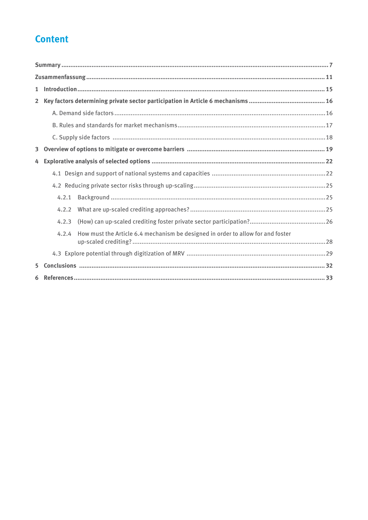# **Content**

| $\mathbf{1}$            |       |                                                                                 |  |  |  |  |  |
|-------------------------|-------|---------------------------------------------------------------------------------|--|--|--|--|--|
| $2^{\circ}$             |       |                                                                                 |  |  |  |  |  |
|                         |       |                                                                                 |  |  |  |  |  |
|                         |       |                                                                                 |  |  |  |  |  |
|                         |       |                                                                                 |  |  |  |  |  |
| $\overline{\mathbf{3}}$ |       |                                                                                 |  |  |  |  |  |
| 4                       |       |                                                                                 |  |  |  |  |  |
|                         |       |                                                                                 |  |  |  |  |  |
|                         |       |                                                                                 |  |  |  |  |  |
|                         | 4.2.1 |                                                                                 |  |  |  |  |  |
|                         | 4.2.2 |                                                                                 |  |  |  |  |  |
|                         | 4.2.3 |                                                                                 |  |  |  |  |  |
|                         | 4.2.4 | How must the Article 6.4 mechanism be designed in order to allow for and foster |  |  |  |  |  |
|                         |       |                                                                                 |  |  |  |  |  |
| 5.                      |       |                                                                                 |  |  |  |  |  |
|                         |       |                                                                                 |  |  |  |  |  |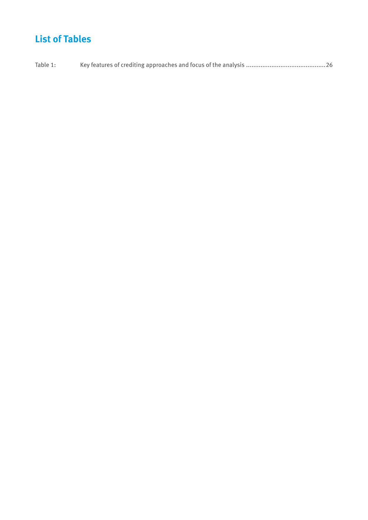# **List of Tables**

Table 1: [Key features of crediting approaches and focus of the analysis ............................................26](#page-25-0)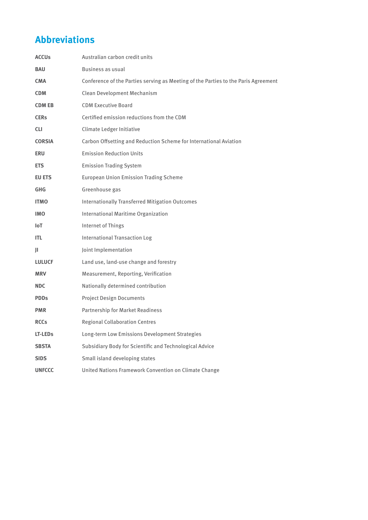# **Abbreviations**

| <b>ACCUs</b>        | Australian carbon credit units                                                     |  |  |  |
|---------------------|------------------------------------------------------------------------------------|--|--|--|
| <b>BAU</b>          | Business as usual                                                                  |  |  |  |
| <b>CMA</b>          | Conference of the Parties serving as Meeting of the Parties to the Paris Agreement |  |  |  |
| <b>CDM</b>          | Clean Development Mechanism                                                        |  |  |  |
| <b>CDM EB</b>       | <b>CDM Executive Board</b>                                                         |  |  |  |
| <b>CERs</b>         | Certified emission reductions from the CDM                                         |  |  |  |
| <b>CLI</b>          | Climate Ledger Initiative                                                          |  |  |  |
| <b>CORSIA</b>       | Carbon Offsetting and Reduction Scheme for International Aviation                  |  |  |  |
| ERU                 | <b>Emission Reduction Units</b>                                                    |  |  |  |
| <b>ETS</b>          | <b>Emission Trading System</b>                                                     |  |  |  |
| <b>EU ETS</b>       | <b>European Union Emission Trading Scheme</b>                                      |  |  |  |
| <b>GHG</b>          | Greenhouse gas                                                                     |  |  |  |
| <b>ITMO</b>         | <b>Internationally Transferred Mitigation Outcomes</b>                             |  |  |  |
| <b>IMO</b>          | International Maritime Organization                                                |  |  |  |
| <b>IoT</b>          | <b>Internet of Things</b>                                                          |  |  |  |
| ITL                 | <b>International Transaction Log</b>                                               |  |  |  |
| Ш                   | Joint Implementation                                                               |  |  |  |
| <b>LULUCF</b>       | Land use, land-use change and forestry                                             |  |  |  |
| <b>MRV</b>          | Measurement, Reporting, Verification                                               |  |  |  |
| <b>NDC</b>          | Nationally determined contribution                                                 |  |  |  |
| <b>PDDs</b>         | <b>Project Design Documents</b>                                                    |  |  |  |
| <b>PMR</b>          | Partnership for Market Readiness                                                   |  |  |  |
| <b>RCCs</b>         | <b>Regional Collaboration Centres</b>                                              |  |  |  |
| LT-LED <sub>S</sub> | Long-term Low Emissions Development Strategies                                     |  |  |  |
| <b>SBSTA</b>        | Subsidiary Body for Scientific and Technological Advice                            |  |  |  |
| <b>SIDS</b>         | Small island developing states                                                     |  |  |  |
| <b>UNFCCC</b>       | United Nations Framework Convention on Climate Change                              |  |  |  |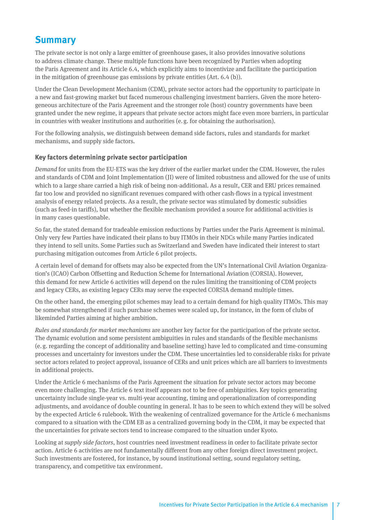# <span id="page-6-0"></span>**Summary**

The private sector is not only a large emitter of greenhouse gases, it also provides innovative solutions to address climate change. These multiple functions have been recognized by Parties when adopting the Paris Agreement and its Article 6.4, which explicitly aims to incentivize and facilitate the participation in the mitigation of greenhouse gas emissions by private entities (Art. 6.4 (b)).

Under the Clean Development Mechanism (CDM), private sector actors had the opportunity to participate in a new and fast-growing market but faced numerous challenging investment barriers. Given the more heterogeneous architecture of the Paris Agreement and the stronger role (host) country governments have been granted under the new regime, it appears that private sector actors might face even more barriers, in particular in countries with weaker institutions and authorities (e.g. for obtaining the authorisation).

For the following analysis, we distinguish between demand side factors, rules and standards for market mechanisms, and supply side factors.

#### **Key factors determining private sector participation**

*Demand* for units from the EU-ETS was the key driver of the earlier market under the CDM. However, the rules and standards of CDM and Joint Implementation (JI) were of limited robustness and allowed for the use of units which to a large share carried a high risk of being non-additional. As a result, CER and ERU prices remained far too low and provided no significant revenues compared with other cash-flows in a typical investment analysis of energy related projects. As a result, the private sector was stimulated by domestic subsidies (such as feed-in tariffs), but whether the flexible mechanism provided a source for additional activities is in many cases questionable.

So far, the stated demand for tradeable emission reductions by Parties under the Paris Agreement is minimal. Only very few Parties have indicated their plans to buy ITMOs in their NDCs while many Parties indicated they intend to sell units. Some Parties such as Switzerland and Sweden have indicated their interest to start purchasing mitigation outcomes from Article 6 pilot projects.

A certain level of demand for offsets may also be expected from the UN's International Civil Aviation Organization's (ICAO) Carbon Offsetting and Reduction Scheme for International Aviation (CORSIA). However, this demand for new Article 6 activities will depend on the rules limiting the transitioning of CDM projects and legacy CERs, as existing legacy CERs may serve the expected CORSIA demand multiple times.

On the other hand, the emerging pilot schemes may lead to a certain demand for high quality ITMOs. This may be somewhat strengthened if such purchase schemes were scaled up, for instance, in the form of clubs of likeminded Parties aiming at higher ambition.

*Rules and standards for market mechanisms* are another key factor for the participation of the private sector. The dynamic evolution and some persistent ambiguities in rules and standards of the flexible mechanisms (e.g. regarding the concept of additionality and baseline setting) have led to complicated and time-consuming processes and uncertainty for investors under the CDM. These uncertainties led to considerable risks for private sector actors related to project approval, issuance of CERs and unit prices which are all barriers to investments in additional projects.

Under the Article 6 mechanisms of the Paris Agreement the situation for private sector actors may become even more challenging. The Article 6 text itself appears not to be free of ambiguities. Key topics generating uncertainty include single-year vs. multi-year accounting, timing and operationalization of corresponding adjustments, and avoidance of double counting in general. It has to be seen to which extend they will be solved by the expected Article 6 rulebook. With the weakening of centralized governance for the Article 6 mechanisms compared to a situation with the CDM EB as a centralized governing body in the CDM, it may be expected that the uncertainties for private sectors tend to increase compared to the situation under Kyoto.

Looking at *supply side factors*, host countries need investment readiness in order to facilitate private sector action. Article 6 activities are not fundamentally different from any other foreign direct investment project. Such investments are fostered, for instance, by sound institutional setting, sound regulatory setting, transparency, and competitive tax environment.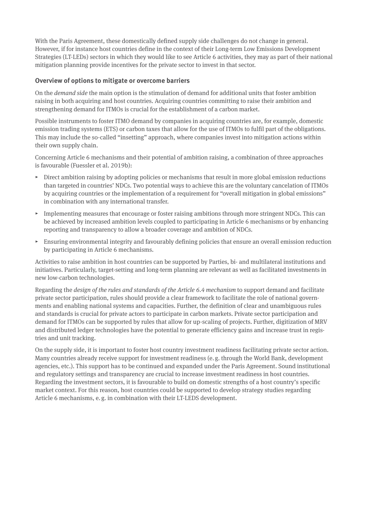With the Paris Agreement, these domestically defined supply side challenges do not change in general. However, if for instance host countries define in the context of their Long-term Low Emissions Development Strategies (LT-LEDs) sectors in which they would like to see Article 6 activities, they may as part of their national mitigation planning provide incentives for the private sector to invest in that sector.

#### **Overview of options to mitigate or overcome barriers**

On the *demand side* the main option is the stimulation of demand for additional units that foster ambition raising in both acquiring and host countries. Acquiring countries committing to raise their ambition and strengthening demand for ITMOs is crucial for the establishment of a carbon market.

Possible instruments to foster ITMO demand by companies in acquiring countries are, for example, domestic emission trading systems (ETS) or carbon taxes that allow for the use of ITMOs to fulfil part of the obligations. This may include the so-called "insetting" approach, where companies invest into mitigation actions within their own supply chain.

Concerning Article 6 mechanisms and their potential of ambition raising, a combination of three approaches is favourable (Fuessler et al. 2019b):

- ▸ Direct ambition raising by adopting policies or mechanisms that result in more global emission reductions than targeted in countries' NDCs. Two potential ways to achieve this are the voluntary cancelation of ITMOs by acquiring countries or the implementation of a requirement for "overall mitigation in global emissions" in combination with any international transfer.
- $\triangleright$  Implementing measures that encourage or foster raising ambitions through more stringent NDCs. This can be achieved by increased ambition levels coupled to participating in Article 6 mechanisms or by enhancing reporting and transparency to allow a broader coverage and ambition of NDCs.
- ▸ Ensuring environmental integrity and favourably defining policies that ensure an overall emission reduction by participating in Article 6 mechanisms.

Activities to raise ambition in host countries can be supported by Parties, bi- and multilateral institutions and initiatives. Particularly, target-setting and long-term planning are relevant as well as facilitated investments in new low-carbon technologies.

Regarding the *design of the rules and standards of the Article 6.4 mechanism* to support demand and facilitate private sector participation, rules should provide a clear framework to facilitate the role of national governments and enabling national systems and capacities. Further, the definition of clear and unambiguous rules and standards is crucial for private actors to participate in carbon markets. Private sector participation and demand for ITMOs can be supported by rules that allow for up-scaling of projects. Further, digitization of MRV and distributed ledger technologies have the potential to generate efficiency gains and increase trust in registries and unit tracking.

On the supply side, it is important to foster host country investment readiness facilitating private sector action. Many countries already receive support for investment readiness (e.g. through the World Bank, development agencies, etc.). This support has to be continued and expanded under the Paris Agreement. Sound institutional and regulatory settings and transparency are crucial to increase investment readiness in host countries. Regarding the investment sectors, it is favourable to build on domestic strengths of a host country's specific market context. For this reason, host countries could be supported to develop strategy studies regarding Article 6 mechanisms, e.g. in combination with their LT-LEDS development.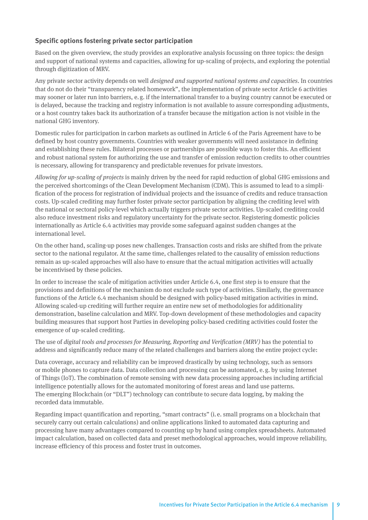#### **Specific options fostering private sector participation**

Based on the given overview, the study provides an explorative analysis focussing on three topics: the design and support of national systems and capacities, allowing for up-scaling of projects, and exploring the potential through digitization of MRV.

Any private sector activity depends on well *designed and supported national systems and capacities*. In countries that do not do their "transparency related homework", the implementation of private sector Article 6 activities may sooner or later run into barriers, e.g. if the international transfer to a buying country cannot be executed or is delayed, because the tracking and registry information is not available to assure corresponding adjustments, or a host country takes back its authorization of a transfer because the mitigation action is not visible in the national GHG inventory.

Domestic rules for participation in carbon markets as outlined in Article 6 of the Paris Agreement have to be defined by host country governments. Countries with weaker governments will need assistance in defining and establishing these rules. Bilateral processes or partnerships are possible ways to foster this. An efficient and robust national system for authorizing the use and transfer of emission reduction credits to other countries is necessary, allowing for transparency and predictable revenues for private investors.

*Allowing for up-scaling of projects* is mainly driven by the need for rapid reduction of global GHG emissions and the perceived shortcomings of the Clean Development Mechanism (CDM). This is assumed to lead to a simplification of the process for registration of individual projects and the issuance of credits and reduce transaction costs. Up-scaled crediting may further foster private sector participation by aligning the crediting level with the national or sectoral policy-level which actually triggers private sector activities. Up-scaled crediting could also reduce investment risks and regulatory uncertainty for the private sector. Registering domestic policies internationally as Article 6.4 activities may provide some safeguard against sudden changes at the international level.

On the other hand, scaling-up poses new challenges. Transaction costs and risks are shifted from the private sector to the national regulator. At the same time, challenges related to the causality of emission reductions remain as up-scaled approaches will also have to ensure that the actual mitigation activities will actually be incentivised by these policies.

In order to increase the scale of mitigation activities under Article 6.4, one first step is to ensure that the provisions and definitions of the mechanism do not exclude such type of activities. Similarly, the governance functions of the Article 6.4 mechanism should be designed with policy-based mitigation activities in mind. Allowing scaled-up crediting will further require an entire new set of methodologies for additionality demonstration, baseline calculation and MRV. Top-down development of these methodologies and capacity building measures that support host Parties in developing policy-based crediting activities could foster the emergence of up-scaled crediting.

The use of *digital tools and processes for Measuring, Reporting and Verification (MRV)* has the potential to address and significantly reduce many of the related challenges and barriers along the entire project cycle:

Data coverage, accuracy and reliability can be improved drastically by using technology, such as sensors or mobile phones to capture data. Data collection and processing can be automated, e.g. by using Internet of Things (IoT). The combination of remote sensing with new data processing approaches including artificial intelligence potentially allows for the automated monitoring of forest areas and land use patterns. The emerging Blockchain (or "DLT") technology can contribute to secure data logging, by making the recorded data immutable.

Regarding impact quantification and reporting, "smart contracts" (i. e. small programs on a blockchain that securely carry out certain calculations) and online applications linked to automated data capturing and processing have many advantages compared to counting up by hand using complex spreadsheets. Automated impact calculation, based on collected data and preset methodological approaches, would improve reliability, increase efficiency of this process and foster trust in outcomes.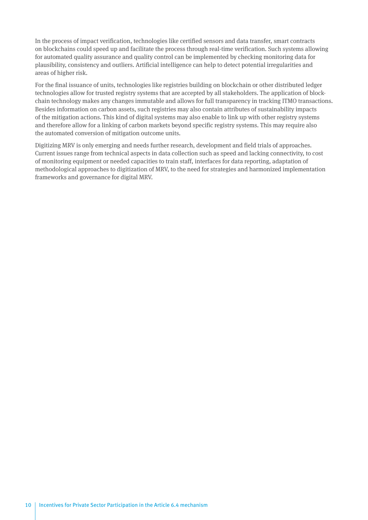In the process of impact verification, technologies like certified sensors and data transfer, smart contracts on blockchains could speed up and facilitate the process through real-time verification. Such systems allowing for automated quality assurance and quality control can be implemented by checking monitoring data for plausibility, consistency and outliers. Artificial intelligence can help to detect potential irregularities and areas of higher risk.

For the final issuance of units, technologies like registries building on blockchain or other distributed ledger technologies allow for trusted registry systems that are accepted by all stakeholders. The application of blockchain technology makes any changes immutable and allows for full transparency in tracking ITMO transactions. Besides information on carbon assets, such registries may also contain attributes of sustainability impacts of the mitigation actions. This kind of digital systems may also enable to link up with other registry systems and therefore allow for a linking of carbon markets beyond specific registry systems. This may require also the automated conversion of mitigation outcome units.

Digitizing MRV is only emerging and needs further research, development and field trials of approaches. Current issues range from technical aspects in data collection such as speed and lacking connectivity, to cost of monitoring equipment or needed capacities to train staff, interfaces for data reporting, adaptation of methodological approaches to digitization of MRV, to the need for strategies and harmonized implementation frameworks and governance for digital MRV.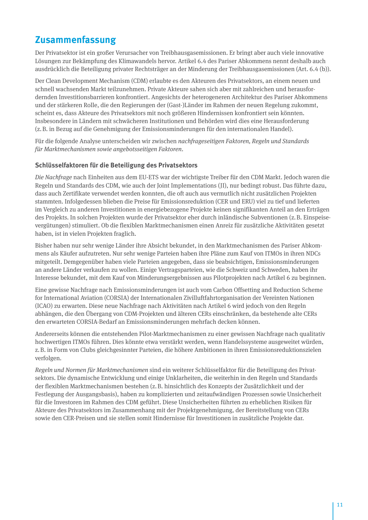# <span id="page-10-0"></span>**Zusammenfassung**

Der Privatsektor ist ein großer Verursacher von Treibhausgasemissionen. Er bringt aber auch viele innovative Lösungen zur Bekämpfung des Klimawandels hervor. Artikel 6.4 des Pariser Abkommens nennt deshalb auch ausdrücklich die Beteiligung privater Rechtsträger an der Minderung der Treibhausgasemissionen (Art. 6.4 (b)).

Der Clean Development Mechanism (CDM) erlaubte es den Akteuren des Privatsektors, an einem neuen und schnell wachsenden Markt teilzunehmen. Private Akteure sahen sich aber mit zahlreichen und herausfordernden Investitionsbarrieren konfrontiert. Angesichts der heterogeneren Architektur des Pariser Abkommens und der stärkeren Rolle, die den Regierungen der (Gast-)Länder im Rahmen der neuen Regelung zukommt, scheint es, dass Akteure des Privatsektors mit noch größeren Hindernissen konfrontiert sein könnten. Insbesondere in Ländern mit schwächeren Institutionen und Behörden wird dies eine Herausforderung (z.B. in Bezug auf die Genehmigung der Emissionsminderungen für den internationalen Handel).

Für die folgende Analyse unterscheiden wir zwischen *nachfrageseitigen Faktoren, Regeln und Standards für Marktmechanismen sowie angebotsseitigen Faktoren*.

#### **Schlüsselfaktoren für die Beteiligung des Privatsektors**

*Die Nachfrage* nach Einheiten aus dem EU-ETS war der wichtigste Treiber für den CDM Markt. Jedoch waren die Regeln und Standards des CDM, wie auch der Joint Implementations (JI), nur bedingt robust. Das führte dazu, dass auch Zertifikate verwendet werden konnten, die oft auch aus vermutlich nicht zusätzlichen Projekten stammten. Infolgedessen blieben die Preise für Emissionsreduktion (CER und ERU) viel zu tief und lieferten im Vergleich zu anderen Investitionen in energiebezogene Projekte keinen signifikanten Anteil an den Erträgen des Projekts. In solchen Projekten wurde der Privatsektor eher durch inländische Subventionen (z.B. Einspeisevergütungen) stimuliert. Ob die flexiblen Marktmechanismen einen Anreiz für zusätzliche Aktivitäten gesetzt haben, ist in vielen Projekten fraglich.

Bisher haben nur sehr wenige Länder ihre Absicht bekundet, in den Marktmechanismen des Pariser Abkommens als Käufer aufzutreten. Nur sehr wenige Parteien haben ihre Pläne zum Kauf von ITMOs in ihren NDCs mitgeteilt. Demgegenüber haben viele Parteien angegeben, dass sie beabsichtigen, Emissionsminderungen an andere Länder verkaufen zu wollen. Einige Vertragsparteien, wie die Schweiz und Schweden, haben ihr Interesse bekundet, mit dem Kauf von Minderungsergebnissen aus Pilotprojekten nach Artikel 6 zu beginnen.

Eine gewisse Nachfrage nach Emissionsminderungen ist auch vom Carbon Offsetting and Reduction Scheme for International Aviation (CORSIA) der Internationalen Zivilluftfahrtorganisation der Vereinten Nationen (ICAO) zu erwarten. Diese neue Nachfrage nach Aktivitäten nach Artikel 6 wird jedoch von den Regeln abhängen, die den Übergang von CDM-Projekten und älteren CERs einschränken, da bestehende alte CERs den erwarteten CORSIA-Bedarf an Emissionsminderungen mehrfach decken können.

Andererseits können die entstehenden Pilot-Marktmechanismen zu einer gewissen Nachfrage nach qualitativ hochwertigen ITMOs führen. Dies könnte etwa verstärkt werden, wenn Handelssysteme ausgeweitet würden, z.B. in Form von Clubs gleichgesinnter Parteien, die höhere Ambitionen in ihren Emissionsreduktionszielen verfolgen.

*Regeln und Normen für Marktmechanismen* sind ein weiterer Schlüsselfaktor für die Beteiligung des Privatsektors. Die dynamische Entwicklung und einige Unklarheiten, die weiterhin in den Regeln und Standards der flexiblen Marktmechanismen bestehen (z.B. hinsichtlich des Konzepts der Zusätzlichkeit und der Festlegung der Ausgangsbasis), haben zu komplizierten und zeitaufwändigen Prozessen sowie Unsicherheit für die Investoren im Rahmen des CDM geführt. Diese Unsicherheiten führten zu erheblichen Risiken für Akteure des Privatsektors im Zusammenhang mit der Projektgenehmigung, der Bereitstellung von CERs sowie den CER-Preisen und sie stellen somit Hindernisse für Investitionen in zusätzliche Projekte dar.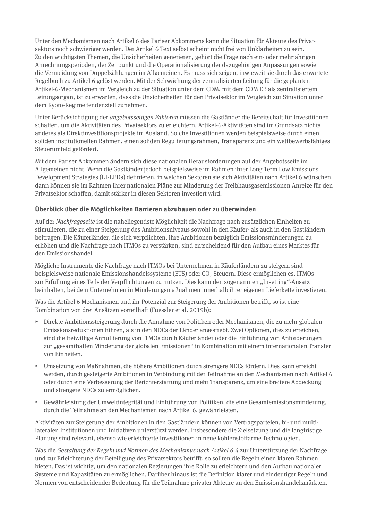Unter den Mechanismen nach Artikel 6 des Pariser Abkommens kann die Situation für Akteure des Privatsektors noch schwieriger werden. Der Artikel 6 Text selbst scheint nicht frei von Unklarheiten zu sein. Zu den wichtigsten Themen, die Unsicherheiten generieren, gehört die Frage nach ein- oder mehrjährigen Anrechnungsperioden, der Zeitpunkt und die Operationalisierung der dazugehörigen Anpassungen sowie die Vermeidung von Doppelzählungen im Allgemeinen. Es muss sich zeigen, inwieweit sie durch das erwartete Regelbuch zu Artikel 6 gelöst werden. Mit der Schwächung der zentralisierten Leitung für die geplanten Artikel-6-Mechanismen im Vergleich zu der Situation unter dem CDM, mit dem CDM EB als zentralisiertem Leitungsorgan, ist zu erwarten, dass die Unsicherheiten für den Privatsektor im Vergleich zur Situation unter dem Kyoto-Regime tendenziell zunehmen.

Unter Berücksichtigung der *angebotsseitigen Faktoren* müssen die Gastländer die Bereitschaft für Investitionen schaffen, um die Aktivitäten des Privatsektors zu erleichtern. Artikel-6-Aktivitäten sind im Grundsatz nichts anderes als Direktinvestitionsprojekte im Ausland. Solche Investitionen werden beispielsweise durch einen soliden institutionellen Rahmen, einen soliden Regulierungsrahmen, Transparenz und ein wettbewerbsfähiges Steuerumfeld gefördert.

Mit dem Pariser Abkommen ändern sich diese nationalen Herausforderungen auf der Angebotsseite im Allgemeinen nicht. Wenn die Gastländer jedoch beispielsweise im Rahmen ihrer Long Term Low Emissions Development Strategies (LT-LEDs) definieren, in welchen Sektoren sie sich Aktivitäten nach Artikel 6 wünschen, dann können sie im Rahmen ihrer nationalen Pläne zur Minderung der Treibhausgasemissionen Anreize für den Privatsektor schaffen, damit stärker in diesen Sektoren investiert wird.

#### **Überblick über die Möglichkeiten Barrieren abzubauen oder zu überwinden**

Auf der *Nachfrageseite* ist die naheliegendste Möglichkeit die Nachfrage nach zusätzlichen Einheiten zu stimulieren, die zu einer Steigerung des Ambitionsniveaus sowohl in den Käufer- als auch in den Gastländern beitragen. Die Käuferländer, die sich verpflichten, ihre Ambitionen bezüglich Emissionsminderungen zu erhöhen und die Nachfrage nach ITMOs zu verstärken, sind entscheidend für den Aufbau eines Marktes für den Emissionshandel.

Mögliche Instrumente die Nachfrage nach ITMOs bei Unternehmen in Käuferländern zu steigern sind beispielsweise nationale Emissionshandelssysteme (ETS) oder CO<sub>2</sub>-Steuern. Diese ermöglichen es, ITMOs zur Erfüllung eines Teils der Verpflichtungen zu nutzen. Dies kann den sogenannten "Insetting"-Ansatz beinhalten, bei dem Unternehmen in Minderungsmaßnahmen innerhalb ihrer eigenen Lieferkette investieren.

Was die Artikel 6 Mechanismen und ihr Potenzial zur Steigerung der Ambitionen betrifft, so ist eine Kombination von drei Ansätzen vorteilhaft (Fuessler et al. 2019b):

- ▸ Direkte Ambitionssteigerung durch die Annahme von Politiken oder Mechanismen, die zu mehr globalen Emissionsreduktionen führen, als in den NDCs der Länder angestrebt. Zwei Optionen, dies zu erreichen, sind die freiwillige Annullierung von ITMOs durch Käuferländer oder die Einführung von Anforderungen zur "gesamthaften Minderung der globalen Emissionen" in Kombination mit einem internationalen Transfer von Einheiten.
- ▸ Umsetzung von Maßnahmen, die höhere Ambitionen durch strengere NDCs fördern. Dies kann erreicht werden, durch gesteigerte Ambitionen in Verbindung mit der Teilnahme an den Mechanismen nach Artikel 6 oder durch eine Verbesserung der Berichterstattung und mehr Transparenz, um eine breitere Abdeckung und strengere NDCs zu ermöglichen.
- Gewährleistung der Umweltintegrität und Einführung von Politiken, die eine Gesamtemissionsminderung, durch die Teilnahme an den Mechanismen nach Artikel 6, gewährleisten.

Aktivitäten zur Steigerung der Ambitionen in den Gastländern können von Vertragsparteien, bi- und multilateralen Institutionen und Initiativen unterstützt werden. Insbesondere die Zielsetzung und die langfristige Planung sind relevant, ebenso wie erleichterte Investitionen in neue kohlenstoffarme Technologien.

Was die *Gestaltung der Regeln und Normen des Mechanismus nach Artikel 6.4* zur Unterstützung der Nachfrage und zur Erleichterung der Beteiligung des Privatsektors betrifft, so sollten die Regeln einen klaren Rahmen bieten. Das ist wichtig, um den nationalen Regierungen ihre Rolle zu erleichtern und den Aufbau nationaler Systeme und Kapazitäten zu ermöglichen. Darüber hinaus ist die Definition klarer und eindeutiger Regeln und Normen von entscheidender Bedeutung für die Teilnahme privater Akteure an den Emissionshandelsmärkten.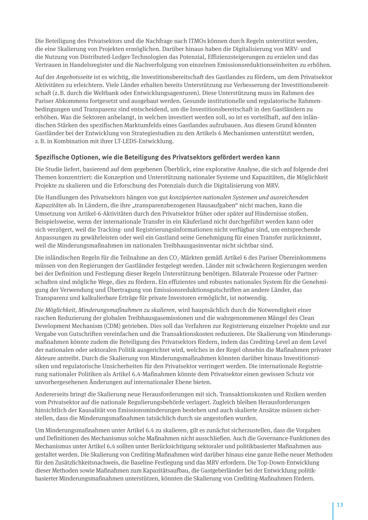Die Beteiligung des Privatsektors und die Nachfrage nach ITMOs können durch Regeln unterstützt werden, die eine Skalierung von Projekten ermöglichen. Darüber hinaus haben die Digitalisierung von MRV- und die Nutzung von Distributed-Ledger-Technologien das Potenzial, Effizienzsteigerungen zu erzielen und das Vertrauen in Handelsregister und die Nachverfolgung von einzelnen Emissionsreduktionseinheiten zu erhöhen.

Auf der *Angebotsseite* ist es wichtig, die Investitionsbereitschaft des Gastlandes zu fördern, um dem Privatsektor Aktivitäten zu erleichtern. Viele Länder erhalten bereits Unterstützung zur Verbesserung der Investitionsbereitschaft (z.B. durch die Weltbank oder Entwicklungsagenturen). Diese Unterstützung muss im Rahmen des Pariser Abkommens fortgesetzt und ausgebaut werden. Gesunde institutionelle und regulatorische Rahmenbedingungen und Transparenz sind entscheidend, um die Investitionsbereitschaft in den Gastländern zu erhöhen. Was die Sektoren anbelangt, in welchen investiert werden soll, so ist es vorteilhaft, auf den inländischen Stärken des spezifischen Marktumfelds eines Gastlandes aufzubauen. Aus diesem Grund könnten Gastländer bei der Entwicklung von Strategiestudien zu den Artikels 6 Mechanismen unterstützt werden, z.B. in Kombination mit ihrer LT-LEDS-Entwicklung.

#### **Spezifische Optionen, wie die Beteiligung des Privatsektors gefördert werden kann**

Die Studie liefert, basierend auf dem gegebenen Überblick, eine explorative Analyse, die sich auf folgende drei Themen konzentriert: die Konzeption und Unterstützung nationaler Systeme und Kapazitäten, die Möglichkeit Projekte zu skalieren und die Erforschung des Potenzials durch die Digitalisierung von MRV.

Die Handlungen des Privatsektors hängen von gut *konzipierten nationalen Systemen und ausreichenden*  Kapazitäten ab. In Ländern, die ihre "transparenzbezogenen Hausaufgaben" nicht machen, kann die Umsetzung von Artikel-6-Aktivitäten durch den Privatsektor früher oder später auf Hindernisse stoßen. Beispielsweise, wenn der internationale Transfer in ein Käuferland nicht durchgeführt werden kann oder sich verzögert, weil die Tracking- und Registrierungsinformationen nicht verfügbar sind, um entsprechende Anpassungen zu gewährleisten oder weil ein Gastland seine Genehmigung für einen Transfer zurücknimmt, weil die Minderungsmaßnahmen im nationalen Treibhausgasinventar nicht sichtbar sind.

Die inländischen Regeln für die Teilnahme an den CO<sub>2</sub>-Märkten gemäß Artikel 6 des Pariser Übereinkommens müssen von den Regierungen der Gastländer festgelegt werden. Länder mit schwächeren Regierungen werden bei der Definition und Festlegung dieser Regeln Unterstützung benötigen. Bilaterale Prozesse oder Partnerschaften sind mögliche Wege, dies zu fördern. Ein effizientes und robustes nationales System für die Genehmigung der Verwendung und Übertragung von Emissionsreduktionsgutschriften an andere Länder, das Transparenz und kalkulierbare Erträge für private Investoren ermöglicht, ist notwendig.

*Die Möglichkeit, Minderungsmaßnahmen zu skalieren*, wird hauptsächlich durch die Notwendigkeit einer raschen Reduzierung der globalen Treibhausgasemissionen und die wahrgenommenen Mängel des Clean Development Mechanism (CDM) getrieben. Dies soll das Verfahren zur Registrierung einzelner Projekte und zur Vergabe von Gutschriften vereinfachen und die Transaktionskosten reduzieren. Die Skalierung von Minderungsmaßnahmen könnte zudem die Beteiligung des Privatsektors fördern, indem das Crediting-Level an dem Level der nationalen oder sektoralen Politik ausgerichtet wird, welches in der Regel ohnehin die Maßnahmen privater Akteure antreibt. Durch die Skalierung von Minderungsmaßnahmen könnten darüber hinaus Investitionsrisiken und regulatorische Unsicherheiten für den Privatsektor verringert werden. Die internationale Registrierung nationaler Politiken als Artikel 6.4-Maßnahmen könnte dem Privatsektor einen gewissen Schutz vor unvorhergesehenen Änderungen auf internationaler Ebene bieten.

Andererseits bringt die Skalierung neue Herausforderungen mit sich. Transaktionskosten und Risiken werden vom Privatsektor auf die nationale Regulierungsbehörde verlagert. Zugleich bleiben Herausforderungen hinsichtlich der Kausalität von Emissionsminderungen bestehen und auch skalierte Ansätze müssen sicherstellen, dass die Minderungsmaßnahmen tatsächlich durch sie angestoßen wurden.

Um Minderungsmaßnahmen unter Artikel 6.4 zu skalieren, gilt es zunächst sicherzustellen, dass die Vorgaben und Definitionen des Mechanismus solche Maßnahmen nicht ausschließen. Auch die Governance-Funktionen des Mechanismus unter Artikel 6.4 sollten unter Berücksichtigung sektoraler und politikbasierter Maßnahmen aus gestaltet werden. Die Skalierung von Crediting-Maßnahmen wird darüber hinaus eine ganze Reihe neuer Methoden für den Zusätzlichkeitsnachweis, die Baseline-Festlegung und das MRV erfordern. Die Top-Down-Entwicklung dieser Methoden sowie Maßnahmen zum Kapazitätsaufbau, die Gastgeberländer bei der Entwicklung politikbasierter Minderungsmaßnahmen unterstützen, könnten die Skalierung von Crediting-Maßnahmen fördern.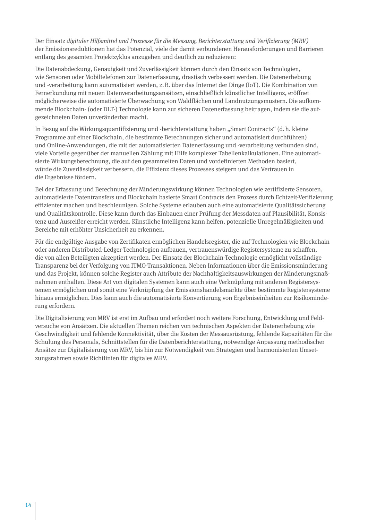Der Einsatz *digitaler Hilfsmittel und Prozesse für die Messung, Berichterstattung und Verifizierung (MRV)* der Emissionsreduktionen hat das Potenzial, viele der damit verbundenen Herausforderungen und Barrieren entlang des gesamten Projektzyklus anzugehen und deutlich zu reduzieren:

Die Datenabdeckung, Genauigkeit und Zuverlässigkeit können durch den Einsatz von Technologien, wie Sensoren oder Mobiltelefonen zur Datenerfassung, drastisch verbessert werden. Die Datenerhebung und -verarbeitung kann automatisiert werden, z.B. über das Internet der Dinge (IoT). Die Kombination von Fernerkundung mit neuen Datenverarbeitungsansätzen, einschließlich künstlicher Intelligenz, eröffnet möglicherweise die automatisierte Überwachung von Waldflächen und Landnutzungsmustern. Die aufkommende Blockchain- (oder DLT-) Technologie kann zur sicheren Datenerfassung beitragen, indem sie die aufgezeichneten Daten unveränderbar macht.

In Bezug auf die Wirkungsquantifizierung und -berichterstattung haben "Smart Contracts" (d.h. kleine Programme auf einer Blockchain, die bestimmte Berechnungen sicher und automatisiert durchführen) und Online-Anwendungen, die mit der automatisierten Datenerfassung und -verarbeitung verbunden sind, viele Vorteile gegenüber der manuellen Zählung mit Hilfe komplexer Tabellenkalkulationen. Eine automatisierte Wirkungsberechnung, die auf den gesammelten Daten und vordefinierten Methoden basiert, würde die Zuverlässigkeit verbessern, die Effizienz dieses Prozesses steigern und das Vertrauen in die Ergebnisse fördern.

Bei der Erfassung und Berechnung der Minderungswirkung können Technologien wie zertifizierte Sensoren, automatisierte Datentransfers und Blockchain basierte Smart Contracts den Prozess durch Echtzeit-Verifizierung effizienter machen und beschleunigen. Solche Systeme erlauben auch eine automatisierte Qualitätssicherung und Qualitätskontrolle. Diese kann durch das Einbauen einer Prüfung der Messdaten auf Plausibilität, Konsistenz und Ausreißer erreicht werden. Künstliche Intelligenz kann helfen, potenzielle Unregelmäßigkeiten und Bereiche mit erhöhter Unsicherheit zu erkennen.

Für die endgültige Ausgabe von Zertifikaten ermöglichen Handelsregister, die auf Technologien wie Blockchain oder anderen Distributed-Ledger-Technologien aufbauen, vertrauenswürdige Registersysteme zu schaffen, die von allen Beteiligten akzeptiert werden. Der Einsatz der Blockchain-Technologie ermöglicht vollständige Transparenz bei der Verfolgung von ITMO-Transaktionen. Neben Informationen über die Emissionsminderung und das Projekt, können solche Register auch Attribute der Nachhaltigkeitsauswirkungen der Minderungsmaßnahmen enthalten. Diese Art von digitalen Systemen kann auch eine Verknüpfung mit anderen Registersystemen ermöglichen und somit eine Verknüpfung der Emissionshandelsmärkte über bestimmte Registersysteme hinaus ermöglichen. Dies kann auch die automatisierte Konvertierung von Ergebniseinheiten zur Risikominderung erfordern.

Die Digitalisierung von MRV ist erst im Aufbau und erfordert noch weitere Forschung, Entwicklung und Feldversuche von Ansätzen. Die aktuellen Themen reichen von technischen Aspekten der Datenerhebung wie Geschwindigkeit und fehlende Konnektivität, über die Kosten der Messausrüstung, fehlende Kapazitäten für die Schulung des Personals, Schnittstellen für die Datenberichterstattung, notwendige Anpassung methodischer Ansätze zur Digitalisierung von MRV, bis hin zur Notwendigkeit von Strategien und harmonisierten Umsetzungsrahmen sowie Richtlinien für digitales MRV.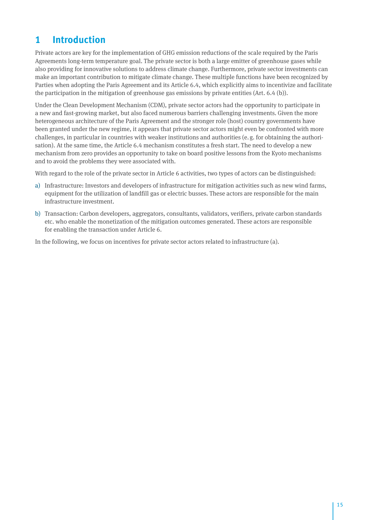# <span id="page-14-0"></span>**1 Introduction**

Private actors are key for the implementation of GHG emission reductions of the scale required by the Paris Agreements long-term temperature goal. The private sector is both a large emitter of greenhouse gases while also providing for innovative solutions to address climate change. Furthermore, private sector investments can make an important contribution to mitigate climate change. These multiple functions have been recognized by Parties when adopting the Paris Agreement and its Article 6.4, which explicitly aims to incentivize and facilitate the participation in the mitigation of greenhouse gas emissions by private entities (Art. 6.4 (b)).

Under the Clean Development Mechanism (CDM), private sector actors had the opportunity to participate in a new and fast-growing market, but also faced numerous barriers challenging investments. Given the more heterogeneous architecture of the Paris Agreement and the stronger role (host) country governments have been granted under the new regime, it appears that private sector actors might even be confronted with more challenges, in particular in countries with weaker institutions and authorities (e.g. for obtaining the authorisation). At the same time, the Article 6.4 mechanism constitutes a fresh start. The need to develop a new mechanism from zero provides an opportunity to take on board positive lessons from the Kyoto mechanisms and to avoid the problems they were associated with.

With regard to the role of the private sector in Article 6 activities, two types of actors can be distinguished:

- a) Infrastructure: Investors and developers of infrastructure for mitigation activities such as new wind farms, equipment for the utilization of landfill gas or electric busses. These actors are responsible for the main infrastructure investment.
- b) Transaction: Carbon developers, aggregators, consultants, validators, verifiers, private carbon standards etc. who enable the monetization of the mitigation outcomes generated. These actors are responsible for enabling the transaction under Article 6.

In the following, we focus on incentives for private sector actors related to infrastructure (a).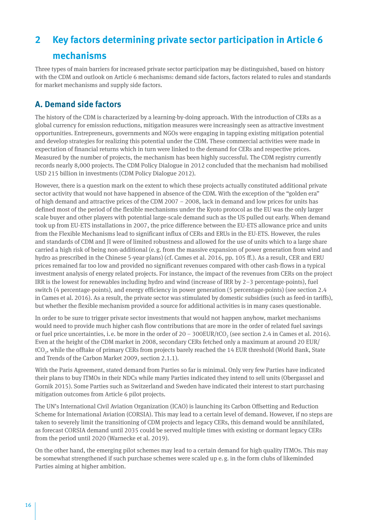# <span id="page-15-0"></span>**2 Key factors determining private sector participation in Article 6 mechanisms**

Three types of main barriers for increased private sector participation may be distinguished, based on history with the CDM and outlook on Article 6 mechanisms: demand side factors, factors related to rules and standards for market mechanisms and supply side factors.

# **A. Demand side factors**

The history of the CDM is characterized by a learning-by-doing approach. With the introduction of CERs as a global currency for emission reductions, mitigation measures were increasingly seen as attractive investment opportunities. Entrepreneurs, governments and NGOs were engaging in tapping existing mitigation potential and develop strategies for realizing this potential under the CDM. These commercial activities were made in expectation of financial returns which in turn were linked to the demand for CERs and respective prices. Measured by the number of projects, the mechanism has been highly successful. The CDM registry currently records nearly 8,000 projects. The CDM Policy Dialogue in 2012 concluded that the mechanism had mobilised USD 215 billion in investments (CDM Policy Dialogue 2012).

However, there is a question mark on the extent to which these projects actually constituted additional private sector activity that would not have happened in absence of the CDM. With the exception of the "golden era" of high demand and attractive prices of the CDM 2007 – 2008, lack in demand and low prices for units has defined most of the period of the flexible mechanisms under the Kyoto protocol as the EU was the only larger scale buyer and other players with potential large-scale demand such as the US pulled out early. When demand took up from EU-ETS installations in 2007, the price difference between the EU-ETS allowance price and units from the Flexible Mechanisms lead to significant influx of CERs and ERUs in the EU-ETS. However, the rules and standards of CDM and JI were of limited robustness and allowed for the use of units which to a large share carried a high risk of being non-additional (e.g. from the massive expansion of power generation from wind and hydro as prescribed in the Chinese 5-year-plans) (cf. Cames et al. 2016, pp. 105 ff.). As a result, CER and ERU prices remained far too low and provided no significant revenues compared with other cash-flows in a typical investment analysis of energy related projects. For instance, the impact of the revenues from CERs on the project IRR is the lowest for renewables including hydro and wind (increase of IRR by 2–3 percentage-points), fuel switch (4 percentage-points), and energy efficiency in power generation (5 percentage-points) (see section 2.4 in Cames et al. 2016). As a result, the private sector was stimulated by domestic subsidies (such as feed-in tariffs), but whether the flexible mechanism provided a source for additional activities is in many cases questionable.

In order to be sure to trigger private sector investments that would not happen anyhow, market mechanisms would need to provide much higher cash flow contributions that are more in the order of related fuel savings or fuel price uncertainties, i.e. be more in the order of  $20 - 300$  EUR/tCO<sub>2</sub> (see section 2.4 in Cames et al. 2016). Even at the height of the CDM market in 2008, secondary CERs fetched only a maximum at around 20 EUR/ tCO2, while the offtake of primary CERs from projects barely reached the 14 EUR threshold (World Bank, State and Trends of the Carbon Market 2009, section 2.1.1).

With the Paris Agreement, stated demand from Parties so far is minimal. Only very few Parties have indicated their plans to buy ITMOs in their NDCs while many Parties indicated they intend to sell units (Obergassel and Gornik 2015). Some Parties such as Switzerland and Sweden have indicated their interest to start purchasing mitigation outcomes from Article 6 pilot projects.

The UN's International Civil Aviation Organization (ICAO) is launching its Carbon Offsetting and Reduction Scheme for International Aviation (CORSIA). This may lead to a certain level of demand. However, if no steps are taken to severely limit the transitioning of CDM projects and legacy CERs, this demand would be annihilated, as forecast CORSIA demand until 2035 could be served multiple times with existing or dormant legacy CERs from the period until 2020 (Warnecke et al. 2019).

On the other hand, the emerging pilot schemes may lead to a certain demand for high quality ITMOs. This may be somewhat strengthened if such purchase schemes were scaled up e.g. in the form clubs of likeminded Parties aiming at higher ambition.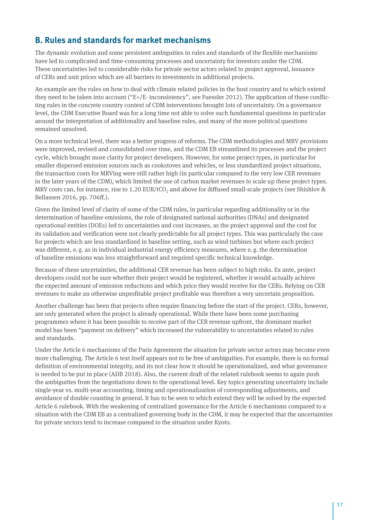# <span id="page-16-0"></span>**B. Rules and standards for market mechanisms**

The dynamic evolution and some persistent ambiguities in rules and standards of the flexible mechanisms have led to complicated and time-consuming processes and uncertainty for investors under the CDM. These uncertainties led to considerable risks for private sector actors related to project approval, issuance of CERs and unit prices which are all barriers to investments in additional projects.

An example are the rules on how to deal with climate related policies in the host country and to which extend they need to be taken into account ("E+/E- inconsistency", see Fuessler 2012). The application of these conflicting rules in the concrete country context of CDM interventions brought lots of uncertainty. On a governance level, the CDM Executive Board was for a long time not able to solve such fundamental questions in particular around the interpretation of additionality and baseline rules, and many of the more political questions remained unsolved.

On a more technical level, there was a better progress of reforms. The CDM methodologies and MRV provisions were improved, revised and consolidated over time, and the CDM EB streamlined its processes and the project cycle, which brought more clarity for project developers. However, for some project types, in particular for smaller dispersed emission sources such as cookstoves and vehicles, or less standardized project situations, the transaction costs for MRVing were still rather high (in particular compared to the very low CER revenues in the later years of the CDM), which limited the use of carbon market revenues to scale up these project types. MRV costs can, for instance, rise to 1.20  $EUR/tCO$ , and above for diffused small-scale projects (see Shishlov & Bellassen 2016, pp. 706ff.).

Given the limited level of clarity of some of the CDM rules, in particular regarding additionality or in the determination of baseline emissions, the role of designated national authorities (DNAs) and designated operational entities (DOEs) led to uncertainties and cost increases, as the project approval and the cost for its validation and verification were not clearly predictable for all project types. This was particularly the case for projects which are less standardized in baseline setting, such as wind turbines but where each project was different, e.g. as in individual industrial energy efficiency measures, where e.g. the determination of baseline emissions was less straightforward and required specific technical knowledge.

Because of these uncertainties, the additional CER revenue has been subject to high risks. Ex ante, project developers could not be sure whether their project would be registered, whether it would actually achieve the expected amount of emission reductions and which price they would receive for the CERs. Relying on CER revenues to make an otherwise unprofitable project profitable was therefore a very uncertain proposition.

Another challenge has been that projects often require financing before the start of the project. CERs, however, are only generated when the project is already operational. While there have been some purchasing programmes where it has been possible to receive part of the CER revenue upfront, the dominant market model has been "payment on delivery" which increased the vulnerability to uncertainties related to rules and standards.

Under the Article 6 mechanisms of the Paris Agreement the situation for private sector actors may become even more challenging. The Article 6 text itself appears not to be free of ambiguities. For example, there is no formal definition of environmental integrity, and its not clear how it should be operationalized, and what governance is needed to be put in place (ADB 2018). Also, the current draft of the related rulebook seems to again push the ambiguities from the negotiations down to the operational level. Key topics generating uncertainty include single-year vs. multi-year accounting, timing and operationalization of corresponding adjustments, and avoidance of double counting in general. It has to be seen to which extend they will be solved by the expected Article 6 rulebook. With the weakening of centralized governance for the Article 6 mechanisms compared to a situation with the CDM EB as a centralized governing body in the CDM, it may be expected that the uncertainties for private sectors tend to increase compared to the situation under Kyoto.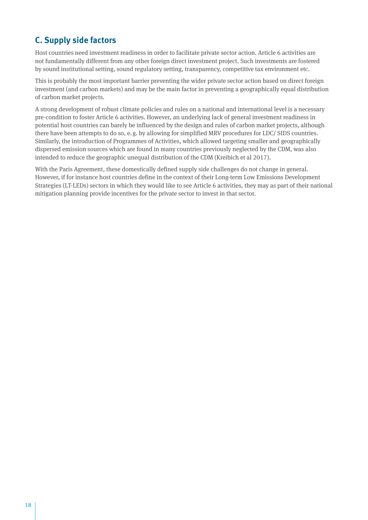# <span id="page-17-0"></span>**C. Supply side factors**

Host countries need investment readiness in order to facilitate private sector action. Article 6 activities are not fundamentally different from any other foreign direct investment project. Such investments are fostered by sound institutional setting, sound regulatory setting, transparency, competitive tax environment etc.

This is probably the most important barrier preventing the wider private sector action based on direct foreign investment (and carbon markets) and may be the main factor in preventing a geographically equal distribution of carbon market projects.

A strong development of robust climate policies and rules on a national and international level is a necessary pre-condition to foster Article 6 activities. However, an underlying lack of general investment readiness in potential host countries can barely be influenced by the design and rules of carbon market projects, although there have been attempts to do so, e.g. by allowing for simplified MRV procedures for LDC/ SIDS countries. Similarly, the introduction of Programmes of Activities, which allowed targeting smaller and geographically dispersed emission sources which are found in many countries previously neglected by the CDM, was also intended to reduce the geographic unequal distribution of the CDM (Kreibich et al 2017).

With the Paris Agreement, these domestically defined supply side challenges do not change in general. However, if for instance host countries define in the context of their Long-term Low Emissions Development Strategies (LT-LEDs) sectors in which they would like to see Article 6 activities, they may as part of their national mitigation planning provide incentives for the private sector to invest in that sector.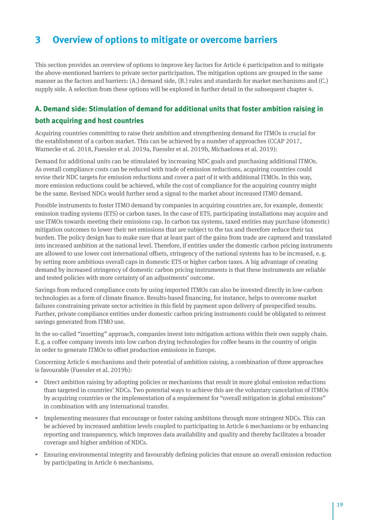# <span id="page-18-0"></span>**3 Overview of options to mitigate or overcome barriers**

This section provides an overview of options to improve key factors for Article 6 participation and to mitigate the above-mentioned barriers to private sector participation. The mitigation options are grouped in the same manner as the factors and barriers: (A.) demand side, (B.) rules and standards for market mechanisms and (C.) supply side. A selection from these options will be explored in further detail in the subsequent chapter 4.

## **A. Demand side: Stimulation of demand for additional units that foster ambition raising in both acquiring and host countries**

Acquiring countries committing to raise their ambition and strengthening demand for ITMOs is crucial for the establishment of a carbon market. This can be achieved by a number of approaches (CCAP 2017, Warnecke et al. 2018, Fuessler et al. 2019a, Fuessler et al. 2019b, Michaelowa et al. 2019):

Demand for additional units can be stimulated by increasing NDC goals and purchasing additional ITMOs. As overall compliance costs can be reduced with trade of emission reductions, acquiring countries could revise their NDC targets for emission reductions and cover a part of it with additional ITMOs. In this way, more emission reductions could be achieved, while the cost of compliance for the acquiring country might be the same. Revised NDCs would further send a signal to the market about increased ITMO demand.

Possible instruments to foster ITMO demand by companies in acquiring countries are, for example, domestic emission trading systems (ETS) or carbon taxes. In the case of ETS, participating installations may acquire and use ITMOs towards meeting their emissions cap. In carbon tax systems, taxed entities may purchase (domestic) mitigation outcomes to lower their net emissions that are subject to the tax and therefore reduce their tax burden. The policy design has to make sure that at least part of the gains from trade are captured and translated into increased ambition at the national level. Therefore, if entities under the domestic carbon pricing instruments are allowed to use lower cost international offsets, stringency of the national systems has to be increased, e.g. by setting more ambitious overall caps in domestic ETS or higher carbon taxes. A big advantage of creating demand by increased stringency of domestic carbon pricing instruments is that these instruments are reliable and tested policies with more certainty of an adjustments' outcome.

Savings from reduced compliance costs by using imported ITMOs can also be invested directly in low-carbon technologies as a form of climate finance. Results-based financing, for instance, helps to overcome market failures constraining private sector activities in this field by payment upon delivery of prespecified results. Further, private compliance entities under domestic carbon pricing instruments could be obligated to reinvest savings generated from ITMO use.

In the so-called "insetting" approach, companies invest into mitigation actions within their own supply chain. E.g. a coffee company invests into low carbon drying technologies for coffee beans in the country of origin in order to generate ITMOs to offset production emissions in Europe.

Concerning Article 6 mechanisms and their potential of ambition raising, a combination of three approaches is favourable (Fuessler et al. 2019b):

- $\triangleright$  Direct ambition raising by adopting policies or mechanisms that result in more global emission reductions than targeted in countries' NDCs. Two potential ways to achieve this are the voluntary cancelation of ITMOs by acquiring countries or the implementation of a requirement for "overall mitigation in global emissions" in combination with any international transfer.
- ▸ Implementing measures that encourage or foster raising ambitions through more stringent NDCs. This can be achieved by increased ambition levels coupled to participating in Article 6 mechanisms or by enhancing reporting and transparency, which improves data availability and quality and thereby facilitates a broader coverage and higher ambition of NDCs.
- ▸ Ensuring environmental integrity and favourably defining policies that ensure an overall emission reduction by participating in Article 6 mechanisms.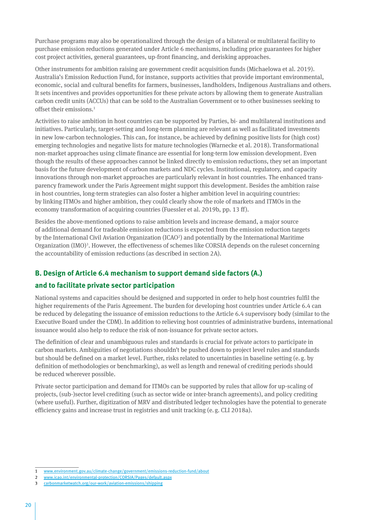Purchase programs may also be operationalized through the design of a bilateral or multilateral facility to purchase emission reductions generated under Article 6 mechanisms, including price guarantees for higher cost project activities, general guarantees, up-front financing, and derisking approaches.

Other instruments for ambition raising are government credit acquisition funds (Michaelowa et al. 2019). Australia's Emission Reduction Fund, for instance, supports activities that provide important environmental, economic, social and cultural benefits for farmers, businesses, landholders, Indigenous Australians and others. It sets incentives and provides opportunities for these private actors by allowing them to generate Australian carbon credit units (ACCUs) that can be sold to the Australian Government or to other businesses seeking to offset their emissions.1

Activities to raise ambition in host countries can be supported by Parties, bi- and multilateral institutions and initiatives. Particularly, target-setting and long-term planning are relevant as well as facilitated investments in new low-carbon technologies. This can, for instance, be achieved by defining positive lists for (high cost) emerging technologies and negative lists for mature technologies (Warnecke et al. 2018). Transformational non-market approaches using climate finance are essential for long-term low emission development. Even though the results of these approaches cannot be linked directly to emission reductions, they set an important basis for the future development of carbon markets and NDC cycles. Institutional, regulatory, and capacity innovations through non-market approaches are particularly relevant in host countries. The enhanced transparency framework under the Paris Agreement might support this development. Besides the ambition raise in host countries, long-term strategies can also foster a higher ambition level in acquiring countries: by linking ITMOs and higher ambition, they could clearly show the role of markets and ITMOs in the economy transformation of acquiring countries (Fuessler et al. 2019b, pp. 13 ff).

Besides the above-mentioned options to raise ambition levels and increase demand, a major source of additional demand for tradeable emission reductions is expected from the emission reduction targets by the International Civil Aviation Organization (ICAO<sup>2</sup>) and potentially by the International Maritime Organization (IMO)<sup>3</sup>. However, the effectiveness of schemes like CORSIA depends on the ruleset concerning the accountability of emission reductions (as described in section 2A).

#### **B. Design of Article 6.4 mechanism to support demand side factors (A.)**

#### **and to facilitate private sector participation**

National systems and capacities should be designed and supported in order to help host countries fulfil the higher requirements of the Paris Agreement. The burden for developing host countries under Article 6.4 can be reduced by delegating the issuance of emission reductions to the Article 6.4 supervisory body (similar to the Executive Board under the CDM). In addition to relieving host countries of administrative burdens, international issuance would also help to reduce the risk of non-issuance for private sector actors.

The definition of clear and unambiguous rules and standards is crucial for private actors to participate in carbon markets. Ambiguities of negotiations shouldn't be pushed down to project level rules and standards but should be defined on a market level. Further, risks related to uncertainties in baseline setting (e.g. by definition of methodologies or benchmarking), as well as length and renewal of crediting periods should be reduced wherever possible.

Private sector participation and demand for ITMOs can be supported by rules that allow for up-scaling of projects, (sub-)sector level crediting (such as sector wide or inter-branch agreements), and policy crediting (where useful). Further, digitization of MRV and distributed ledger technologies have the potential to generate efficiency gains and increase trust in registries and unit tracking (e.g. CLI 2018a).

<sup>1</sup> [www.environment.gov.au/climate-change/government/emissions-reduction-fund/about](https://www.environment.gov.au/climate-change/government/emissions-reduction-fund/about)

<sup>2</sup> [www.icao.int/environmental-protection/CORSIA/Pages/default.aspx](https://www.icao.int/environmental-protection/CORSIA/Pages/default.aspx)

<sup>3</sup> [carbonmarketwatch.org/our-work/aviation-emissions/shipping](https://carbonmarketwatch.org/our-work/aviation-emissions/shipping)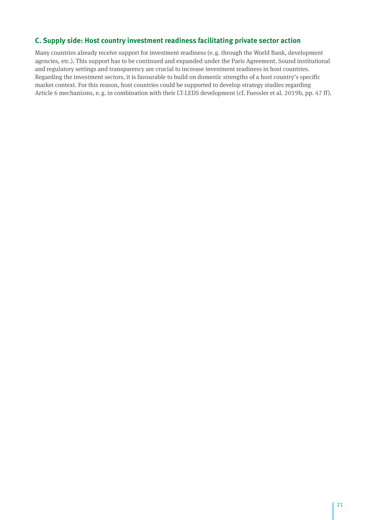## **C. Supply side: Host country investment readiness facilitating private sector action**

Many countries already receive support for investment readiness (e.g. through the World Bank, development agencies, etc.). This support has to be continued and expanded under the Paris Agreement. Sound institutional and regulatory settings and transparency are crucial to increase investment readiness in host countries. Regarding the investment sectors, it is favourable to build on domestic strengths of a host country's specific market context. For this reason, host countries could be supported to develop strategy studies regarding Article 6 mechanisms, e.g. in combination with their LT-LEDS development (cf. Fuessler et al. 2019b, pp. 47 ff).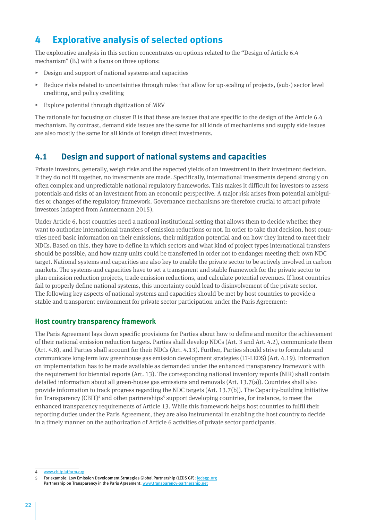# <span id="page-21-0"></span>**4 Explorative analysis of selected options**

The explorative analysis in this section concentrates on options related to the "Design of Article 6.4 mechanism" (B.) with a focus on three options:

- $\triangleright$  Design and support of national systems and capacities
- $\triangleright$  Reduce risks related to uncertainties through rules that allow for up-scaling of projects, (sub-) sector level crediting, and policy crediting
- $\triangleright$  Explore potential through digitization of MRV

The rationale for focusing on cluster B is that these are issues that are specific to the design of the Article 6.4 mechanism. By contrast, demand side issues are the same for all kinds of mechanisms and supply side issues are also mostly the same for all kinds of foreign direct investments.

## **4.1 Design and support of national systems and capacities**

Private investors, generally, weigh risks and the expected yields of an investment in their investment decision. If they do not fit together, no investments are made. Specifically, international investments depend strongly on often complex and unpredictable national regulatory frameworks. This makes it difficult for investors to assess potentials and risks of an investment from an economic perspective. A major risk arises from potential ambiguities or changes of the regulatory framework. Governance mechanisms are therefore crucial to attract private investors (adapted from Ammermann 2015).

Under Article 6, host countries need a national institutional setting that allows them to decide whether they want to authorize international transfers of emission reductions or not. In order to take that decision, host countries need basic information on their emissions, their mitigation potential and on how they intend to meet their NDCs. Based on this, they have to define in which sectors and what kind of project types international transfers should be possible, and how many units could be transferred in order not to endanger meeting their own NDC target. National systems and capacities are also key to enable the private sector to be actively involved in carbon markets. The systems and capacities have to set a transparent and stable framework for the private sector to plan emission reduction projects, trade emission reductions, and calculate potential revenues. If host countries fail to properly define national systems, this uncertainty could lead to disinvolvement of the private sector. The following key aspects of national systems and capacities should be met by host countries to provide a stable and transparent environment for private sector participation under the Paris Agreement:

#### **Host country transparency framework**

The Paris Agreement lays down specific provisions for Parties about how to define and monitor the achievement of their national emission reduction targets. Parties shall develop NDCs (Art. 3 and Art. 4.2), communicate them (Art. 4.8), and Parties shall account for their NDCs (Art. 4.13). Further, Parties should strive to formulate and communicate long-term low greenhouse gas emission development strategies (LT-LEDS) (Art. 4.19). Information on implementation has to be made available as demanded under the enhanced transparency framework with the requirement for biennial reports (Art. 13). The corresponding national inventory reports (NIR) shall contain detailed information about all green-house gas emissions and removals (Art. 13.7(a)). Countries shall also provide information to track progress regarding the NDC targets (Art. 13.7(b)). The Capacity-building Initiative for Transparency (CBIT)<sup>4</sup> and other partnerships<sup>5</sup> support developing countries, for instance, to meet the enhanced transparency requirements of Article 13. While this framework helps host countries to fulfil their reporting duties under the Paris Agreement, they are also instrumental in enabling the host country to decide in a timely manner on the authorization of Article 6 activities of private sector participants.

<sup>4</sup> [www.cbitplatform.org](https://www.cbitplatform.org/)

<sup>5</sup> For example: Low Emission Development Strategies Global Partnership (LEDS GP): [ledsgp.org](http://ledsgp.org/) Partnership on Transparency in the Paris Agreement: [www.transparency-partnership.net](https://www.transparency-partnership.net/)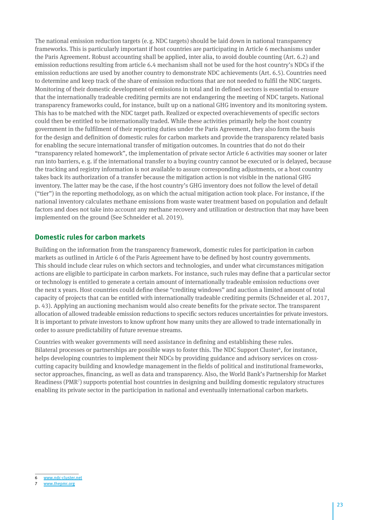The national emission reduction targets (e.g. NDC targets) should be laid down in national transparency frameworks. This is particularly important if host countries are participating in Article 6 mechanisms under the Paris Agreement. Robust accounting shall be applied, inter alia, to avoid double counting (Art. 6.2) and emission reductions resulting from article 6.4 mechanism shall not be used for the host country's NDCs if the emission reductions are used by another country to demonstrate NDC achievements (Art. 6.5). Countries need to determine and keep track of the share of emission reductions that are not needed to fulfil the NDC targets. Monitoring of their domestic development of emissions in total and in defined sectors is essential to ensure that the internationally tradeable crediting permits are not endangering the meeting of NDC targets. National transparency frameworks could, for instance, built up on a national GHG inventory and its monitoring system. This has to be matched with the NDC target path. Realized or expected overachievements of specific sectors could then be entitled to be internationally traded. While these activities primarily help the host country government in the fulfilment of their reporting duties under the Paris Agreement, they also form the basis for the design and definition of domestic rules for carbon markets and provide the transparency related basis for enabling the secure international transfer of mitigation outcomes. In countries that do not do their "transparency related homework", the implementation of private sector Article 6 activities may sooner or later run into barriers, e.g. if the international transfer to a buying country cannot be executed or is delayed, because the tracking and registry information is not available to assure corresponding adjustments, or a host country takes back its authorization of a transfer because the mitigation action is not visible in the national GHG inventory. The latter may be the case, if the host country's GHG inventory does not follow the level of detail ("tier") in the reporting methodology, as on which the actual mitigation action took place. For instance, if the national inventory calculates methane emissions from waste water treatment based on population and default factors and does not take into account any methane recovery and utilization or destruction that may have been implemented on the ground (See Schneider et al. 2019).

#### **Domestic rules for carbon markets**

Building on the information from the transparency framework, domestic rules for participation in carbon markets as outlined in Article 6 of the Paris Agreement have to be defined by host country governments. This should include clear rules on which sectors and technologies, and under what circumstances mitigation actions are eligible to participate in carbon markets. For instance, such rules may define that a particular sector or technology is entitled to generate a certain amount of internationally tradeable emission reductions over the next x years. Host countries could define these "crediting windows" and auction a limited amount of total capacity of projects that can be entitled with internationally tradeable crediting permits (Schneider et al. 2017, p. 43). Applying an auctioning mechanism would also create benefits for the private sector. The transparent allocation of allowed tradeable emission reductions to specific sectors reduces uncertainties for private investors. It is important to private investors to know upfront how many units they are allowed to trade internationally in order to assure predictability of future revenue streams.

Countries with weaker governments will need assistance in defining and establishing these rules. Bilateral processes or partnerships are possible ways to foster this. The NDC Support Cluster<sup>6</sup>, for instance, helps developing countries to implement their NDCs by providing guidance and advisory services on crosscutting capacity building and knowledge management in the fields of political and institutional frameworks, sector approaches, financing, as well as data and transparency. Also, the World Bank's Partnership for Market Readiness (PMR<sup>7</sup>) supports potential host countries in designing and building domestic regulatory structures enabling its private sector in the participation in national and eventually international carbon markets.

<sup>6</sup> [www.ndc-cluster.net](https://www.ndc-cluster.net/)

[www.thepmr.org](https://www.thepmr.org/)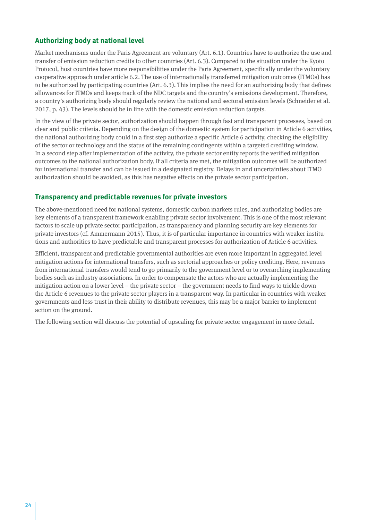#### **Authorizing body at national level**

Market mechanisms under the Paris Agreement are voluntary (Art. 6.1). Countries have to authorize the use and transfer of emission reduction credits to other countries (Art. 6.3). Compared to the situation under the Kyoto Protocol, host countries have more responsibilities under the Paris Agreement, specifically under the voluntary cooperative approach under article 6.2. The use of internationally transferred mitigation outcomes (ITMOs) has to be authorized by participating countries (Art. 6.3). This implies the need for an authorizing body that defines allowances for ITMOs and keeps track of the NDC targets and the country's emissions development. Therefore, a country's authorizing body should regularly review the national and sectoral emission levels (Schneider et al. 2017, p. 43). The levels should be in line with the domestic emission reduction targets.

In the view of the private sector, authorization should happen through fast and transparent processes, based on clear and public criteria. Depending on the design of the domestic system for participation in Article 6 activities, the national authorizing body could in a first step authorize a specific Article 6 activity, checking the eligibility of the sector or technology and the status of the remaining contingents within a targeted crediting window. In a second step after implementation of the activity, the private sector entity reports the verified mitigation outcomes to the national authorization body. If all criteria are met, the mitigation outcomes will be authorized for international transfer and can be issued in a designated registry. Delays in and uncertainties about ITMO authorization should be avoided, as this has negative effects on the private sector participation.

#### **Transparency and predictable revenues for private investors**

The above-mentioned need for national systems, domestic carbon markets rules, and authorizing bodies are key elements of a transparent framework enabling private sector involvement. This is one of the most relevant factors to scale up private sector participation, as transparency and planning security are key elements for private investors (cf. Ammermann 2015). Thus, it is of particular importance in countries with weaker institutions and authorities to have predictable and transparent processes for authorization of Article 6 activities.

Efficient, transparent and predictable governmental authorities are even more important in aggregated level mitigation actions for international transfers, such as sectorial approaches or policy crediting. Here, revenues from international transfers would tend to go primarily to the government level or to overarching implementing bodies such as industry associations. In order to compensate the actors who are actually implementing the mitigation action on a lower level – the private sector – the government needs to find ways to trickle down the Article 6 revenues to the private sector players in a transparent way. In particular in countries with weaker governments and less trust in their ability to distribute revenues, this may be a major barrier to implement action on the ground.

The following section will discuss the potential of upscaling for private sector engagement in more detail.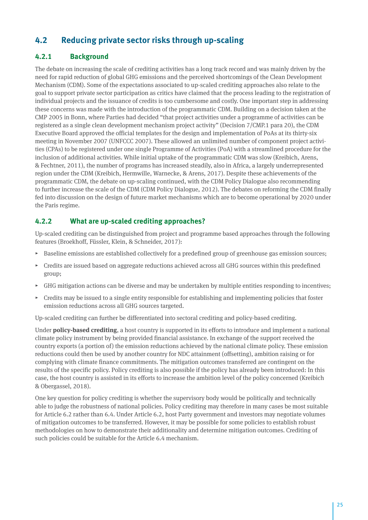# <span id="page-24-0"></span>**4.2 Reducing private sector risks through up-scaling**

#### **4.2.1 Background**

The debate on increasing the scale of crediting activities has a long track record and was mainly driven by the need for rapid reduction of global GHG emissions and the perceived shortcomings of the Clean Development Mechanism (CDM). Some of the expectations associated to up-scaled crediting approaches also relate to the goal to support private sector participation as critics have claimed that the process leading to the registration of individual projects and the issuance of credits is too cumbersome and costly. One important step in addressing these concerns was made with the introduction of the programmatic CDM. Building on a decision taken at the CMP 2005 in Bonn, where Parties had decided "that project activities under a programme of activities can be registered as a single clean development mechanism project activity" (Decision 7/CMP.1 para 20), the CDM Executive Board approved the official templates for the design and implementation of PoAs at its thirty-six meeting in November 2007 (UNFCCC 2007). These allowed an unlimited number of component project activities (CPAs) to be registered under one single Programme of Activities (PoA) with a streamlined procedure for the inclusion of additional activities. While initial uptake of the programmatic CDM was slow (Kreibich, Arens, & Fechtner, 2011), the number of programs has increased steadily, also in Africa, a largely underrepresented region under the CDM (Kreibich, Hermwille, Warnecke, & Arens, 2017). Despite these achievements of the programmatic CDM, the debate on up-scaling continued, with the CDM Policy Dialogue also recommending to further increase the scale of the CDM (CDM Policy Dialogue, 2012). The debates on reforming the CDM finally fed into discussion on the design of future market mechanisms which are to become operational by 2020 under the Paris regime.

#### **4.2.2 What are up-scaled crediting approaches?**

Up-scaled crediting can be distinguished from project and programme based approaches through the following features (Broekhoff, Füssler, Klein, & Schneider, 2017):

- ▸ Baseline emissions are established collectively for a predefined group of greenhouse gas emission sources;
- ▸ Credits are issued based on aggregate reductions achieved across all GHG sources within this predefined group;
- ▸ GHG mitigation actions can be diverse and may be undertaken by multiple entities responding to incentives;
- Credits may be issued to a single entity responsible for establishing and implementing policies that foster emission reductions across all GHG sources targeted.

Up-scaled crediting can further be differentiated into sectoral crediting and policy-based crediting.

Under **policy-based crediting**, a host country is supported in its efforts to introduce and implement a national climate policy instrument by being provided financial assistance. In exchange of the support received the country exports (a portion of) the emission reductions achieved by the national climate policy. These emission reductions could then be used by another country for NDC attainment (offsetting), ambition raising or for complying with climate finance commitments. The mitigation outcomes transferred are contingent on the results of the specific policy. Policy crediting is also possible if the policy has already been introduced: In this case, the host country is assisted in its efforts to increase the ambition level of the policy concerned (Kreibich & Obergassel, 2018).

One key question for policy crediting is whether the supervisory body would be politically and technically able to judge the robustness of national policies. Policy crediting may therefore in many cases be most suitable for Article 6.2 rather than 6.4. Under Article 6.2, host Party government and investors may negotiate volumes of mitigation outcomes to be transferred. However, it may be possible for some policies to establish robust methodologies on how to demonstrate their additionality and determine mitigation outcomes. Crediting of such policies could be suitable for the Article 6.4 mechanism.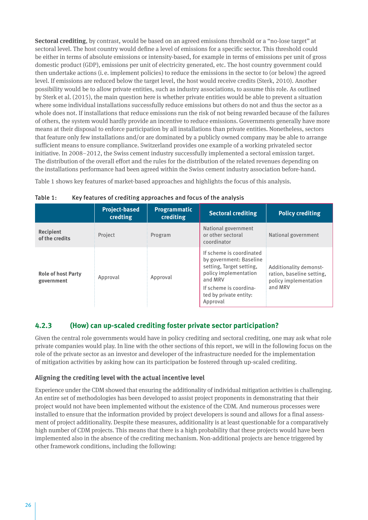<span id="page-25-0"></span>**Sectoral crediting**, by contrast, would be based on an agreed emissions threshold or a "no-lose target" at sectoral level. The host country would define a level of emissions for a specific sector. This threshold could be either in terms of absolute emissions or intensity-based, for example in terms of emissions per unit of gross domestic product (GDP), emissions per unit of electricity generated, etc. The host country government could then undertake actions (i. e. implement policies) to reduce the emissions in the sector to (or below) the agreed level. If emissions are reduced below the target level, the host would receive credits (Sterk, 2010). Another possibility would be to allow private entities, such as industry associations, to assume this role. As outlined by Sterk et al. (2015), the main question here is whether private entities would be able to prevent a situation where some individual installations successfully reduce emissions but others do not and thus the sector as a whole does not. If installations that reduce emissions run the risk of not being rewarded because of the failures of others, the system would hardly provide an incentive to reduce emissions. Governments generally have more means at their disposal to enforce participation by all installations than private entities. Nonetheless, sectors that feature only few installations and/or are dominated by a publicly owned company may be able to arrange sufficient means to ensure compliance. Switzerland provides one example of a working privateled sector initiative. In 2008–2012, the Swiss cement industry successfully implemented a sectoral emission target. The distribution of the overall effort and the rules for the distribution of the related revenues depending on the installations performance had been agreed within the Swiss cement industry association before-hand.

Table 1 shows key features of market-based approaches and highlights the focus of this analysis.

|                                         | <b>Project-based</b><br>credting | <b>Programmatic</b><br>crediting | <b>Sectoral crediting</b>                                                                                                                                                           | <b>Policy crediting</b>                                                                 |
|-----------------------------------------|----------------------------------|----------------------------------|-------------------------------------------------------------------------------------------------------------------------------------------------------------------------------------|-----------------------------------------------------------------------------------------|
| Recipient<br>of the credits             | Project                          | Program                          | National government<br>or other sectoral<br>coordinator                                                                                                                             | National government                                                                     |
| <b>Role of host Party</b><br>government | Approval                         | Approval                         | If scheme is coordinated<br>by government: Baseline<br>setting, Target setting,<br>policy implementation<br>and MRV<br>If scheme is coordina-<br>ted by private entity:<br>Approval | Additionality demonst-<br>ration, baseline setting,<br>policy implementation<br>and MRV |

Table 1: Key features of crediting approaches and focus of the analysis

#### **4.2.3 (How) can up-scaled crediting foster private sector participation?**

Given the central role governments would have in policy crediting and sectoral crediting, one may ask what role private companies would play. In line with the other sections of this report, we will in the following focus on the role of the private sector as an investor and developer of the infrastructure needed for the implementation of mitigation activities by asking how can its participation be fostered through up-scaled crediting.

#### **Aligning the crediting level with the actual incentive level**

Experience under the CDM showed that ensuring the additionality of individual mitigation activities is challenging. An entire set of methodologies has been developed to assist project proponents in demonstrating that their project would not have been implemented without the existence of the CDM. And numerous processes were installed to ensure that the information provided by project developers is sound and allows for a final assessment of project additionality. Despite these measures, additionality is at least questionable for a comparatively high number of CDM projects. This means that there is a high probability that these projects would have been implemented also in the absence of the crediting mechanism. Non-additional projects are hence triggered by other framework conditions, including the following: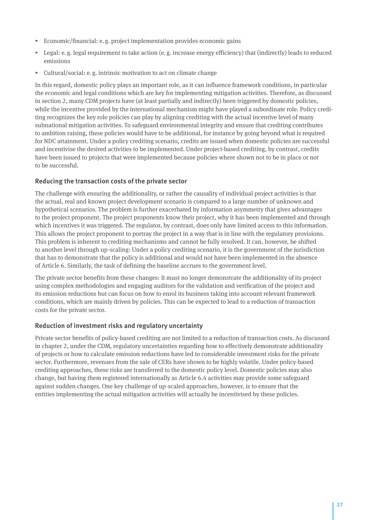- $\triangleright$  Economic/financial: e.g. project implementation provides economic gains
- $\triangleright$  Legal: e.g. legal requirement to take action (e.g. increase energy efficiency) that (indirectly) leads to reduced emissions
- ▸ Cultural/social: e.g. intrinsic motivation to act on climate change

In this regard, domestic policy plays an important role, as it can influence framework conditions, in particular the economic and legal conditions which are key for implementing mitigation activities. Therefore, as discussed in section 2, many CDM projects have (at least partially and indirectly) been triggered by domestic policies, while the incentive provided by the international mechanism might have played a subordinate role. Policy crediting recognizes the key role policies can play by aligning crediting with the actual incentive level of many subnational mitigation activities. To safeguard environmental integrity and ensure that crediting contributes to ambition raising, these policies would have to be additional, for instance by going beyond what is required for NDC attainment. Under a policy crediting scenario, credits are issued when domestic policies are successful and incentivise the desired activities to be implemented. Under project-based crediting, by contrast, credits have been issued to projects that were implemented because policies where shown not to be in place or not to be successful.

#### **Reducing the transaction costs of the private sector**

The challenge with ensuring the additionality, or rather the causality of individual project activities is that the actual, real and known project development scenario is compared to a large number of unknown and hypothetical scenarios. The problem is further exacerbated by information asymmetry that gives advantages to the project proponent. The project proponents know their project, why it has been implemented and through which incentives it was triggered. The regulator, by contrast, does only have limited access to this information. This allows the project proponent to portray the project in a way that is in line with the regulatory provisions. This problem is inherent to crediting mechanisms and cannot be fully resolved. It can, however, be shifted to another level through up-scaling: Under a policy crediting scenario, it is the government of the jurisdiction that has to demonstrate that the policy is additional and would not have been implemented in the absence of Article 6. Similarly, the task of defining the baseline accrues to the government level.

The private sector benefits from these changes: It must no longer demonstrate the additionality of its project using complex methodologies and engaging auditors for the validation and verification of the project and its emission reductions but can focus on how to enrol its business taking into account relevant framework conditions, which are mainly driven by policies. This can be expected to lead to a reduction of transaction costs for the private sector.

#### **Reduction of investment risks and regulatory uncertainty**

Private sector benefits of policy-based crediting are not limited to a reduction of transaction costs. As discussed in chapter 2, under the CDM, regulatory uncertainties regarding how to effectively demonstrate additionality of projects or how to calculate emission reductions have led to considerable investment risks for the private sector. Furthermore, revenues from the sale of CERs have shown to be highly volatile. Under policy-based crediting approaches, these risks are transferred to the domestic policy level. Domestic policies may also change, but having them registered internationally as Article 6.4 activities may provide some safeguard against sudden changes. One key challenge of up-scaled approaches, however, is to ensure that the entities implementing the actual mitigation activities will actually be incentivised by these policies.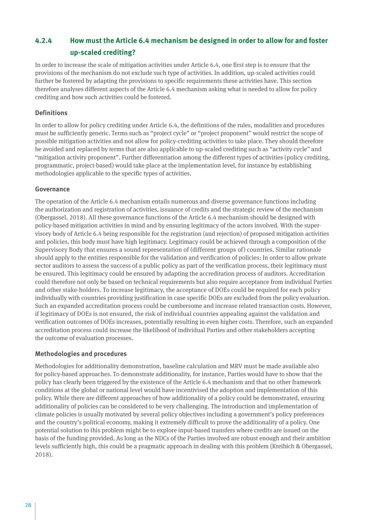# <span id="page-27-0"></span>**4.2.4 How must the Article 6.4 mechanism be designed in order to allow for and foster up-scaled crediting?**

In order to increase the scale of mitigation activities under Article 6.4, one first step is to ensure that the provisions of the mechanism do not exclude such type of activities. In addition, up-scaled activities could further be fostered by adapting the provisions to specific requirements these activities have. This section therefore analyses different aspects of the Article 6.4 mechanism asking what is needed to allow for policy crediting and how such activities could be fostered.

#### **Definitions**

In order to allow for policy crediting under Article 6.4, the definitions of the rules, modalities and procedures must be sufficiently generic. Terms such as "project cycle" or "project proponent" would restrict the scope of possible mitigation activities and not allow for policy-crediting activities to take place. They should therefore be avoided and replaced by terms that are also applicable to up-scaled crediting such as "activity cycle" and "mitigation activity proponent". Further differentiation among the different types of activities (policy crediting, programmatic, project-based) would take place at the implementation level, for instance by establishing methodologies applicable to the specific types of activities.

#### **Governance**

The operation of the Article 6.4 mechanism entails numerous and diverse governance functions including the authorization and registration of activities, issuance of credits and the strategic review of the mechanism (Obergassel, 2018). All these governance functions of the Article 6.4 mechanism should be designed with policy-based mitigation activities in mind and by ensuring legitimacy of the actors involved. With the supervisory body of Article 6.4 being responsible for the registration (and rejection) of proposed mitigation activities and policies, this body must have high legitimacy. Legitimacy could be achieved through a composition of the Supervisory Body that ensures a sound representation of (different groups of) countries. Similar rationale should apply to the entities responsible for the validation and verification of policies: In order to allow private sector auditors to assess the success of a public policy as part of the verification process, their legitimacy must be ensured. This legitimacy could be ensured by adapting the accreditation process of auditors. Accreditation could therefore not only be based on technical requirements but also require acceptance from individual Parties and other stake-holders. To increase legitimacy, the acceptance of DOEs could be required for each policy individually with countries providing justification in case specific DOEs are excluded from the policy evaluation. Such an expanded accreditation process could be cumbersome and increase related transaction costs. However, if legitimacy of DOEs is not ensured, the risk of individual countries appealing against the validation and verification outcomes of DOEs increases, potentially resulting in even higher costs. Therefore, such an expanded accreditation process could increase the likelihood of individual Parties and other stakeholders accepting the outcome of evaluation processes.

#### **Methodologies and procedures**

Methodologies for additionality demonstration, baseline calculation and MRV must be made available also for policy-based approaches. To demonstrate additionality, for instance, Parties would have to show that the policy has clearly been triggered by the existence of the Article 6.4 mechanism and that no other framework conditions at the global or national level would have incentivised the adoption and implementation of this policy. While there are different approaches of how additionality of a policy could be demonstrated, ensuring additionality of policies can be considered to be very challenging. The introduction and implementation of climate policies is usually motivated by several policy objectives including a government's policy preferences and the country's political economy, making it extremely difficult to prove the additionality of a policy. One potential solution to this problem might be to explore input-based transfers where credits are issued on the basis of the funding provided. As long as the NDCs of the Parties involved are robust enough and their ambition levels sufficiently high, this could be a pragmatic approach in dealing with this problem (Kreibich & Obergassel, 2018).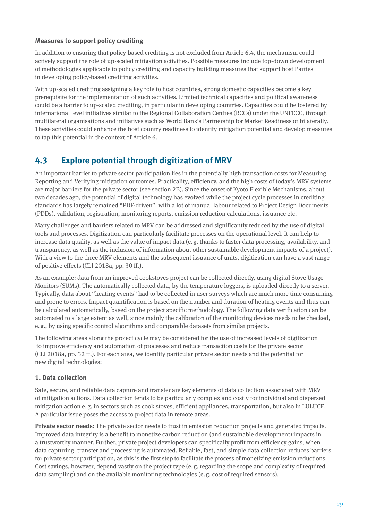#### <span id="page-28-0"></span>**Measures to support policy crediting**

In addition to ensuring that policy-based crediting is not excluded from Article 6.4, the mechanism could actively support the role of up-scaled mitigation activities. Possible measures include top-down development of methodologies applicable to policy crediting and capacity building measures that support host Parties in developing policy-based crediting activities.

With up-scaled crediting assigning a key role to host countries, strong domestic capacities become a key prerequisite for the implementation of such activities. Limited technical capacities and political awareness could be a barrier to up-scaled crediting, in particular in developing countries. Capacities could be fostered by international level initiatives similar to the Regional Collaboration Centres (RCCs) under the UNFCCC, through multilateral organisations and initiatives such as World Bank's Partnership for Market Readiness or bilaterally. These activities could enhance the host country readiness to identify mitigation potential and develop measures to tap this potential in the context of Article 6.

# **4.3 Explore potential through digitization of MRV**

An important barrier to private sector participation lies in the potentially high transaction costs for Measuring, Reporting and Verifying mitigation outcomes. Practicality, efficiency, and the high costs of today's MRV systems are major barriers for the private sector (see section 2B). Since the onset of Kyoto Flexible Mechanisms, about two decades ago, the potential of digital technology has evolved while the project cycle processes in crediting standards has largely remained "PDF-driven", with a lot of manual labour related to Project Design Documents (PDDs), validation, registration, monitoring reports, emission reduction calculations, issuance etc.

Many challenges and barriers related to MRV can be addressed and significantly reduced by the use of digital tools and processes. Digitization can particularly facilitate processes on the operational level. It can help to increase data quality, as well as the value of impact data (e.g. thanks to faster data processing, availability, and transparency, as well as the inclusion of information about other sustainable development impacts of a project). With a view to the three MRV elements and the subsequent issuance of units, digitization can have a vast range of positive effects (CLI 2018a, pp. 30 ff.).

As an example: data from an improved cookstoves project can be collected directly, using digital Stove Usage Monitors (SUMs). The automatically collected data, by the temperature loggers, is uploaded directly to a server. Typically, data about "heating events" had to be collected in user surveys which are much more time consuming and prone to errors. Impact quantification is based on the number and duration of heating events and thus can be calculated automatically, based on the project specific methodology. The following data verification can be automated to a large extent as well, since mainly the calibration of the monitoring devices needs to be checked, e.g., by using specific control algorithms and comparable datasets from similar projects.

The following areas along the project cycle may be considered for the use of increased levels of digitization to improve efficiency and automation of processes and reduce transaction costs for the private sector (CLI 2018a, pp. 32 ff.). For each area, we identify particular private sector needs and the potential for new digital technologies:

#### **1. Data collection**

Safe, secure, and reliable data capture and transfer are key elements of data collection associated with MRV of mitigation actions. Data collection tends to be particularly complex and costly for individual and dispersed mitigation action e.g. in sectors such as cook stoves, efficient appliances, transportation, but also in LULUCF. A particular issue poses the access to project data in remote areas.

**Private sector needs:** The private sector needs to trust in emission reduction projects and generated impacts. Improved data integrity is a benefit to monetize carbon reduction (and sustainable development) impacts in a trustworthy manner. Further, private project developers can specifically profit from efficiency gains, when data capturing, transfer and processing is automated. Reliable, fast, and simple data collection reduces barriers for private sector participation, as this is the first step to facilitate the process of monetizing emission reductions. Cost savings, however, depend vastly on the project type (e.g. regarding the scope and complexity of required data sampling) and on the available monitoring technologies (e.g. cost of required sensors).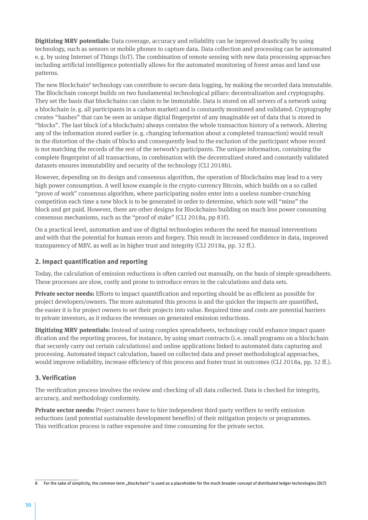**Digitizing MRV potentials:** Data coverage, accuracy and reliability can be improved drastically by using technology, such as sensors or mobile phones to capture data. Data collection and processing can be automated e.g. by using Internet of Things (IoT). The combination of remote sensing with new data processing approaches including artificial intelligence potentially allows for the automated monitoring of forest areas and land use patterns.

The new Blockchain<sup>8</sup> technology can contribute to secure data logging, by making the recorded data immutable. The Blockchain concept builds on two fundamental technological pillars: decentralization and cryptography. They set the basis that blockchains can claim to be immutable. Data is stored on all servers of a network using a blockchain (e.g. all participants in a carbon market) and is constantly monitored and validated. Cryptography creates "hashes" that can be seen as unique digital fingerprint of any imaginable set of data that is stored in "blocks". The last block (of a blockchain) always contains the whole transaction history of a network. Altering any of the information stored earlier (e.g. changing information about a completed transaction) would result in the distortion of the chain of blocks and consequently lead to the exclusion of the participant whose record is not matching the records of the rest of the network's participants. The unique information, containing the complete fingerprint of all transactions, in combination with the decentralized stored and constantly validated datasets ensures immutability and security of the technology (CLI 2018b).

However, depending on its design and consensus algorithm, the operation of Blockchains may lead to a very high power consumption. A well know example is the crypto-currency Bitcoin, which builds on a so called "prove of work" consensus algorithm, where participating nodes enter into a useless number-crunching competition each time a new block is to be generated in order to determine, which note will "mine" the block and get paid. However, there are other designs for Blockchains building on much less power consuming consensus mechanisms, such as the "proof of stake" (CLI 2018a, pp 83f).

On a practical level, automation and use of digital technologies reduces the need for manual interventions and with that the potential for human errors and forgery. This result in increased confidence in data, improved transparency of MRV, as well as in higher trust and integrity (CLI 2018a, pp. 32 ff.).

#### **2. Impact quantification and reporting**

Today, the calculation of emission reductions is often carried out manually, on the basis of simple spreadsheets. These processes are slow, costly and prone to introduce errors in the calculations and data sets.

**Private sector needs:** Efforts to impact quantification and reporting should be as efficient as possible for project developers/owners. The more automated this process is and the quicker the impacts are quantified, the easier it is for project owners to set their projects into value. Required time and costs are potential barriers to private investors, as it reduces the revenues on generated emission reductions.

**Digitizing MRV potentials:** Instead of using complex spreadsheets, technology could enhance impact quantification and the reporting process, for instance, by using smart contracts (i. e. small programs on a blockchain that securely carry out certain calculations) and online applications linked to automated data capturing and processing. Automated impact calculation, based on collected data and preset methodological approaches, would improve reliability, increase efficiency of this process and foster trust in outcomes (CLI 2018a, pp. 32 ff.).

#### **3. Verification**

The verification process involves the review and checking of all data collected. Data is checked for integrity, accuracy, and methodology conformity.

**Private sector needs:** Project owners have to hire independent third-party verifiers to verify emission reductions (and potential sustainable development benefits) of their mitigation projects or programmes. This verification process is rather expensive and time consuming for the private sector.

<sup>8</sup> For the sake of simplicity, the common term "blockchain" is used as a placeholder for the much broader concept of distributed ledger technologies (DLT)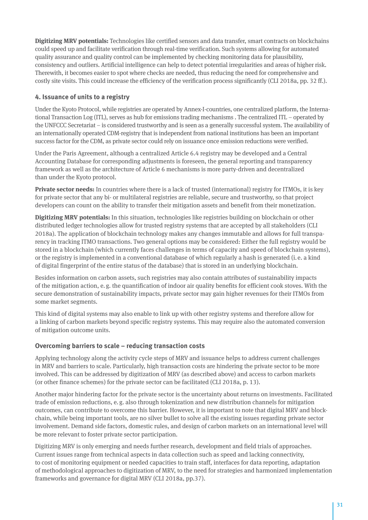**Digitizing MRV potentials:** Technologies like certified sensors and data transfer, smart contracts on blockchains could speed up and facilitate verification through real-time verification. Such systems allowing for automated quality assurance and quality control can be implemented by checking monitoring data for plausibility, consistency and outliers. Artificial intelligence can help to detect potential irregularities and areas of higher risk. Therewith, it becomes easier to spot where checks are needed, thus reducing the need for comprehensive and costly site visits. This could increase the efficiency of the verification process significantly (CLI 2018a, pp. 32 ff.).

#### **4. Issuance of units to a registry**

Under the Kyoto Protocol, while registries are operated by Annex-I-countries, one centralized platform, the International Transaction Log (ITL), serves as hub for emissions trading mechanisms . The centralized ITL – operated by the UNFCCC Secretariat – is considered trustworthy and is seen as a generally successful system. The availability of an internationally operated CDM-registry that is independent from national institutions has been an important success factor for the CDM, as private sector could rely on issuance once emission reductions were verified.

Under the Paris Agreement, although a centralized Article 6.4 registry may be developed and a Central Accounting Database for corresponding adjustments is foreseen, the general reporting and transparency framework as well as the architecture of Article 6 mechanisms is more party-driven and decentralized than under the Kyoto protocol.

**Private sector needs:** In countries where there is a lack of trusted (international) registry for ITMOs, it is key for private sector that any bi- or multilateral registries are reliable, secure and trustworthy, so that project developers can count on the ability to transfer their mitigation assets and benefit from their monetization.

**Digitizing MRV potentials:** In this situation, technologies like registries building on blockchain or other distributed ledger technologies allow for trusted registry systems that are accepted by all stakeholders (CLI 2018a). The application of blockchain technology makes any changes immutable and allows for full transparency in tracking ITMO transactions. Two general options may be considered: Either the full registry would be stored in a blockchain (which currently faces challenges in terms of capacity and speed of blockchain systems), or the registry is implemented in a conventional database of which regularly a hash is generated (i. e. a kind of digital fingerprint of the entire status of the database) that is stored in an underlying blockchain.

Besides information on carbon assets, such registries may also contain attributes of sustainability impacts of the mitigation action, e.g. the quantification of indoor air quality benefits for efficient cook stoves. With the secure demonstration of sustainability impacts, private sector may gain higher revenues for their ITMOs from some market segments.

This kind of digital systems may also enable to link up with other registry systems and therefore allow for a linking of carbon markets beyond specific registry systems. This may require also the automated conversion of mitigation outcome units.

#### **Overcoming barriers to scale – reducing transaction costs**

Applying technology along the activity cycle steps of MRV and issuance helps to address current challenges in MRV and barriers to scale. Particularly, high transaction costs are hindering the private sector to be more involved. This can be addressed by digitization of MRV (as described above) and access to carbon markets (or other finance schemes) for the private sector can be facilitated (CLI 2018a, p. 13).

Another major hindering factor for the private sector is the uncertainty about returns on investments. Facilitated trade of emission reductions, e.g. also through tokenization and new distribution channels for mitigation outcomes, can contribute to overcome this barrier. However, it is important to note that digital MRV and blockchain, while being important tools, are no silver bullet to solve all the existing issues regarding private sector involvement. Demand side factors, domestic rules, and design of carbon markets on an international level will be more relevant to foster private sector participation.

Digitizing MRV is only emerging and needs further research, development and field trials of approaches. Current issues range from technical aspects in data collection such as speed and lacking connectivity, to cost of monitoring equipment or needed capacities to train staff, interfaces for data reporting, adaptation of methodological approaches to digitization of MRV, to the need for strategies and harmonized implementation frameworks and governance for digital MRV (CLI 2018a, pp.37).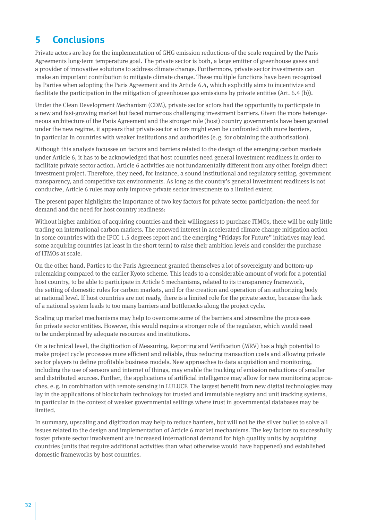# <span id="page-31-0"></span>**5 Conclusions**

Private actors are key for the implementation of GHG emission reductions of the scale required by the Paris Agreements long-term temperature goal. The private sector is both, a large emitter of greenhouse gases and a provider of innovative solutions to address climate change. Furthermore, private sector investments can make an important contribution to mitigate climate change. These multiple functions have been recognized by Parties when adopting the Paris Agreement and its Article 6.4, which explicitly aims to incentivize and facilitate the participation in the mitigation of greenhouse gas emissions by private entities (Art. 6.4 (b)).

Under the Clean Development Mechanism (CDM), private sector actors had the opportunity to participate in a new and fast-growing market but faced numerous challenging investment barriers. Given the more heterogeneous architecture of the Paris Agreement and the stronger role (host) country governments have been granted under the new regime, it appears that private sector actors might even be confronted with more barriers, in particular in countries with weaker institutions and authorities (e.g. for obtaining the authorisation).

Although this analysis focusses on factors and barriers related to the design of the emerging carbon markets under Article 6, it has to be acknowledged that host countries need general investment readiness in order to facilitate private sector action. Article 6 activities are not fundamentally different from any other foreign direct investment project. Therefore, they need, for instance, a sound institutional and regulatory setting, government transparency, and competitive tax environments. As long as the country's general investment readiness is not conducive, Article 6 rules may only improve private sector investments to a limited extent.

The present paper highlights the importance of two key factors for private sector participation: the need for demand and the need for host country readiness:

Without higher ambition of acquiring countries and their willingness to purchase ITMOs, there will be only little trading on international carbon markets. The renewed interest in accelerated climate change mitigation action in some countries with the IPCC 1.5 degrees report and the emerging "Fridays for Future" initiatives may lead some acquiring countries (at least in the short term) to raise their ambition levels and consider the purchase of ITMOs at scale.

On the other hand, Parties to the Paris Agreement granted themselves a lot of sovereignty and bottom-up rulemaking compared to the earlier Kyoto scheme. This leads to a considerable amount of work for a potential host country, to be able to participate in Article 6 mechanisms, related to its transparency framework, the setting of domestic rules for carbon markets, and for the creation and operation of an authorizing body at national level. If host countries are not ready, there is a limited role for the private sector, because the lack of a national system leads to too many barriers and bottlenecks along the project cycle.

Scaling up market mechanisms may help to overcome some of the barriers and streamline the processes for private sector entities. However, this would require a stronger role of the regulator, which would need to be underpinned by adequate resources and institutions.

On a technical level, the digitization of Measuring, Reporting and Verification (MRV) has a high potential to make project cycle processes more efficient and reliable, thus reducing transaction costs and allowing private sector players to define profitable business models. New approaches to data acquisition and monitoring, including the use of sensors and internet of things, may enable the tracking of emission reductions of smaller and distributed sources. Further, the applications of artificial intelligence may allow for new monitoring approaches, e.g. in combination with remote sensing in LULUCF. The largest benefit from new digital technologies may lay in the applications of blockchain technology for trusted and immutable registry and unit tracking systems, in particular in the context of weaker governmental settings where trust in governmental databases may be limited.

In summary, upscaling and digitization may help to reduce barriers, but will not be the silver bullet to solve all issues related to the design and implementation of Article 6 market mechanisms. The key factors to successfully foster private sector involvement are increased international demand for high quality units by acquiring countries (units that require additional activities than what otherwise would have happened) and established domestic frameworks by host countries.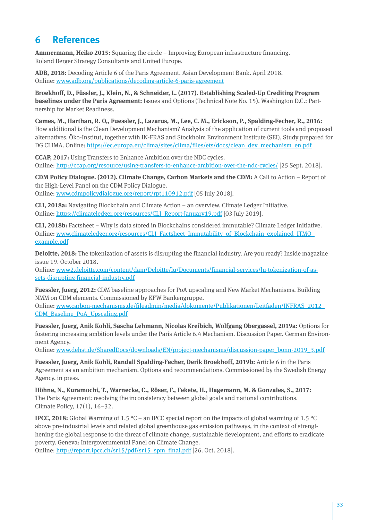# <span id="page-32-0"></span>**6 References**

**Ammermann, Heiko 2015:** Squaring the circle – Improving European infrastructure financing. Roland Berger Strategy Consultants and United Europe.

**ADB, 2018:** Decoding Article 6 of the Paris Agreement. Asian Development Bank. April 2018. Online: [www.adb.org/publications/decoding-article-6-paris-agreement](https://www.adb.org/publications/decoding-article-6-paris-agreement)

**Broekhoff, D., Füssler, J., Klein, N., & Schneider, L. (2017). Establishing Scaled-Up Crediting Program baselines under the Paris Agreement:** Issues and Options (Technical Note No. 15). Washington D.C.: Partnership for Market Readiness.

**Cames, M., Harthan, R. O,, Fuessler, J., Lazarus, M., Lee, C. M., Erickson, P., Spalding-Fecher, R., 2016:** How additional is the Clean Development Mechanism? Analysis of the application of current tools and proposed alternatives. Öko-Institut, together with IN-FRAS and Stockholm Environment Institute (SEI), Study prepared for DG CLIMA. Online: [https://ec.europa.eu/clima/sites/clima/files/ets/docs/clean\\_dev\\_mechanism\\_en.pdf](https://ec.europa.eu/clima/sites/clima/files/ets/docs/clean_dev_mechanism_en.pdf)

**CCAP, 2017:** Using Transfers to Enhance Ambition over the NDC cycles. Online:<http://ccap.org/resource/using-transfers-to-enhance-ambition-over-the-ndc-cycles/>[25 Sept. 2018].

**CDM Policy Dialogue. (2012). Climate Change, Carbon Markets and the CDM:** A Call to Action – Report of the High-Level Panel on the CDM Policy Dialogue.

Online: [www.cdmpolicydialogue.org/report/rpt110912.pdf]( http://www.cdmpolicydialogue.org/report/rpt110912.pdf) [05 July 2018].

**CLI, 2018a:** Navigating Blockchain and Climate Action – an overview. Climate Ledger Initiative. Online: [https://climateledger.org/resources/CLI\\_Report-January19.pdf](https://climateledger.org/resources/CLI_Report-January19.pdf) [03 July 2019].

**CLI, 2018b:** Factsheet – Why is data stored in Blockchains considered immutable? Climate Ledger Initiative. Online: [www.climateledger.org/resources/CLI\\_Factsheet\\_Immutability\\_of\\_Blockchain\\_explained\\_ITMO\\_](https://www.climateledger.org/resources/CLI_Factsheet_Immutability_of_Blockchain_explained_ITMO_example.pdf) [example.pdf](https://www.climateledger.org/resources/CLI_Factsheet_Immutability_of_Blockchain_explained_ITMO_example.pdf)

**Deloitte, 2018:** The tokenization of assets is disrupting the financial industry. Are you ready? Inside magazine issue 19. October 2018.

Online: [www2.deloitte.com/content/dam/Deloitte/lu/Documents/financial-services/lu-tokenization-of-as](https://www2.deloitte.com/content/dam/Deloitte/lu/Documents/financial-services/lu-tokenization-of-assets-disrupting-financial-industry.pdf)[sets-disrupting-financial-industry.pdf](https://www2.deloitte.com/content/dam/Deloitte/lu/Documents/financial-services/lu-tokenization-of-assets-disrupting-financial-industry.pdf)

**Fuessler, Juerg, 2012:** CDM baseline approaches for PoA upscaling and New Market Mechanisms. Building NMM on CDM elements. Commissioned by KFW Bankengruppe.

Online: [www.carbon-mechanisms.de/fileadmin/media/dokumente/Publikationen/Leitfaden/INFRAS\\_2012\\_](https://www.carbon-mechanisms.de/fileadmin/media/dokumente/Publikationen/Leitfaden/INFRAS_2012_CDM_Baseline_PoA_Upscaling.pdf) [CDM\\_Baseline\\_PoA\\_Upscaling.pdf](https://www.carbon-mechanisms.de/fileadmin/media/dokumente/Publikationen/Leitfaden/INFRAS_2012_CDM_Baseline_PoA_Upscaling.pdf)

**Fuessler, Juerg, Anik Kohli, Sascha Lehmann, Nicolas Kreibich, Wolfgang Obergassel, 2019a:** Options for fostering increasing ambition levels under the Paris Article 6.4 Mechanism. Discussion Paper. German Environment Agency.

Online: [www.dehst.de/SharedDocs/downloads/EN/project-mechanisms/discussion-paper\\_bonn-2019\\_3.pdf](https://www.dehst.de/SharedDocs/downloads/EN/project-mechanisms/discussion-paper_bonn-2019_3.pdf)

**Fuessler, Juerg, Anik Kohli, Randall Spalding-Fecher, Derik Broekhoff, 2019b:** Article 6 in the Paris Agreement as an ambition mechanism. Options and recommendations. Commissioned by the Swedish Energy Agency. in press.

**Höhne, N., Kuramochi, T., Warnecke, C., Röser, F., Fekete, H., Hagemann, M. & Gonzales, S., 2017:**  The Paris Agreement: resolving the inconsistency between global goals and national contributions. Climate Policy, 17(1), 16–32.

**IPCC, 2018:** Global Warming of 1.5 °C – an IPCC special report on the impacts of global warming of 1.5 °C above pre-industrial levels and related global greenhouse gas emission pathways, in the context of strengthening the global response to the threat of climate change, sustainable development, and efforts to eradicate poverty. Geneva: Intergovernmental Panel on Climate Change.

Online: [http://report.ipcc.ch/sr15/pdf/sr15\\_spm\\_final.pdf](http://report.ipcc.ch/sr15/pdf/sr15_spm_final.pdf) [26. Oct. 2018].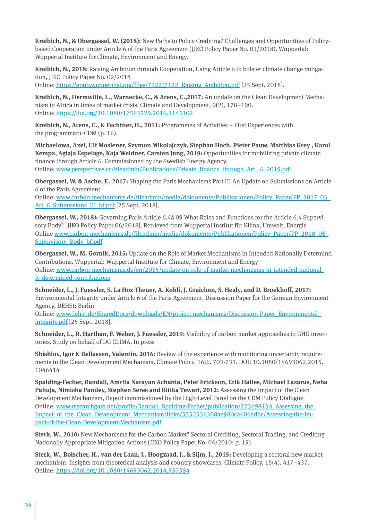**Kreibich, N., & Obergassel, W. (2018):** New Paths to Policy Crediting? Challenges and Opportunities of Policybased Cooperation under Article 6 of the Paris Agreement (JIKO Policy Paper No. 03/2018). Wuppertal: Wuppertal Institute for Climate, Environment and Energy.

**Kreibich, N., 2018:** Raising Ambition through Cooperation, Using Article 6 to bolster climate change mitigation, JIKO Policy Paper No. 02/2018

Online: [https://epub.wupperinst.org/files/7122/7122\\_Raising\\_Ambition.pdf](https://epub.wupperinst.org/files/7122/7122_Raising_Ambition.pdf) [25 Sept. 2018].

**Kreibich, N., Hermwille, L., Warnecke, C., & Arens, C.,2017:** An update on the Clean Development Mechanism in Africa in times of market crisis. Climate and Development, 9(2), 178–190. Online:<https://doi.org/10.1080/17565529.2016.1145102>

**Kreibich, N., Arens, C., & Fechtner, H., 2011:** Programmes of Activities – First Experiences with the programmatic CDM (p. 16).

**Michaelowa, Axel, Ulf Moslener, Szymon Mikolajczyk, Stephan Hoch, Pieter Pauw, Matthias Krey , Karol Kempa, Aglaja Espelage, Kaja Weldner, Carsten Jung, 2019:** Opportunities for mobilizing private climate finance through Article 6. Commissioned by the Swedish Energy Agency. Online: [www.perspectives.cc/fileadmin/Publications/Private\\_finance\\_through\\_Art.\\_6\\_2019.pdf](https://www.perspectives.cc/fileadmin/Publications/Private_finance_through_Art._6_2019.pdf)

**Obergassel, W. & Asche, F., 2017:** Shaping the Paris Mechanisms Part III An Update on Submissions on Article 6 of the Paris Agreement

Online: [www.carbon-mechanisms.de/fileadmin/media/dokumente/Publikationen/Policy\\_Paper/PP\\_2017\\_05\\_](http://www.carbon-mechanisms.de/fileadmin/media/dokumente/Publikationen/Policy_Paper/PP_2017_05_Art_6_Submissions_III_bf.pdf) Art 6 Submissions III bf.pdf [25 Sept. 2018].

**Obergassel, W., 2018):** Governing Paris Article 6.4â 09 What Roles and Functions for the Article 6.4 Supervisory Body? [JIKO Policy Paper 06/2018]. Retrieved from Wuppertal Institut für Klima, Umwelt, Energie Online [www.carbon-mechanisms.de/fileadmin/media/dokumente/Publikationen/Policy\\_Paper/PP\\_2018\\_06\\_](https://www.carbon-mechanisms.de/fileadmin/media/dokumente/Publikationen/Policy_Paper/PP_2018_06_Supervisory_Body_bf.pdf) [Supervisory\\_Body\\_bf.pdf](https://www.carbon-mechanisms.de/fileadmin/media/dokumente/Publikationen/Policy_Paper/PP_2018_06_Supervisory_Body_bf.pdf)

**Obergassel, W., M. Gornik, 2015:** Update on the Role of Market Mechanisms in Intended Nationally Determind Contributions. Wuppertal: Wuppertal Institute for Climate, Environment and Energy Online: [www.carbon-mechanisms.de/en/2015/update-on-role-of-market-mechanisms-in-intended-national](http://www.carbon-mechanisms.de/en/2015/update-on-role-of-market-mechanisms-in-intended-nationally-determined-contributions/)[ly-determined-contributions](http://www.carbon-mechanisms.de/en/2015/update-on-role-of-market-mechanisms-in-intended-nationally-determined-contributions/)

**Schneider, L., J. Fuessler, S. La Hoz Theuer, A. Kohli, J. Graichen, S. Healy, and D. Broekhoff, 2017:** Environmental Integrity under Article 6 of the Paris Agreement, Discussion Paper for the German Environment Agency, DEHSt: Berlin

Online: [www.dehst.de/SharedDocs/downloads/EN/project-mechanisms/Discussion-Paper\\_Environmental\\_](https://www.dehst.de/SharedDocs/downloads/EN/project-mechanisms/Discussion-Paper_Environmental_integrity.pdf) [integrity.pdf](https://www.dehst.de/SharedDocs/downloads/EN/project-mechanisms/Discussion-Paper_Environmental_integrity.pdf) [25 Sept. 2018].

**Schneider, L., R. Harthan, F. Weber, J. Fuessler, 2019:** Visibility of carbon market approaches in GHG inventories. Study on behalf of DG CLIMA. In press

**Shishlov, Igor & Bellassen, Valentin, 2016:** Review of the experience with monitoring uncertainty requirements in the Clean Development Mechanism. Climate Policy. 16:6. 703-731. DOI: 10.1080/14693062.2015. 1046414

**Spalding-Fecher, Randall, Amrita Narayan Achanta, Peter Erickson, Erik Haites, Michael Lazarus, Neha Pahuja, Nimisha Pandey, Stephen Seres and Ritika Tewari, 2012:** Assessing the Impact of the Clean Development Mechanism, Report commissioned by the High-Level Panel on the CDM Policy Dialogue Online: [www.researchgate.net/profile/Randall\\_Spalding-Fecher/publication/273698154\\_Assessing\\_the\\_](https://www.researchgate.net/profile/Randall_Spalding-Fecher/publication/273698154_Assessing_the_Impact_of_the_Clean_Development_Mechanism/links/5552536308ae980ca606adbc/Assessing-the-Impact-of-the-Clean-Development-Mechanism.pdf) [Impact\\_of\\_the\\_Clean\\_Development\\_Mechanism/links/5552536308ae980ca606adbc/Assessing-the-Im](https://www.researchgate.net/profile/Randall_Spalding-Fecher/publication/273698154_Assessing_the_Impact_of_the_Clean_Development_Mechanism/links/5552536308ae980ca606adbc/Assessing-the-Impact-of-the-Clean-Development-Mechanism.pdf)[pact-of-the-Clean-Development-Mechanism.pdf](https://www.researchgate.net/profile/Randall_Spalding-Fecher/publication/273698154_Assessing_the_Impact_of_the_Clean_Development_Mechanism/links/5552536308ae980ca606adbc/Assessing-the-Impact-of-the-Clean-Development-Mechanism.pdf)

**Sterk, W., 2010:** New Mechanisms for the Carbon Market? Sectoral Crediting, Sectoral Trading, and Crediting Nationally Appropriate Mitigation Actions (JIKO Policy Paper No. 04/2010; p. 19).

**Sterk, W., Bolscher, H., van der Laan, J., Hoogzaad, J., & Sijm, J., 2015:** Developing a sectoral new market mechanism: Insights from theoretical analysis and country showcases. Climate Policy, 15(4), 417–437. Online:<https://doi.org/10.1080/14693062.2014.937384>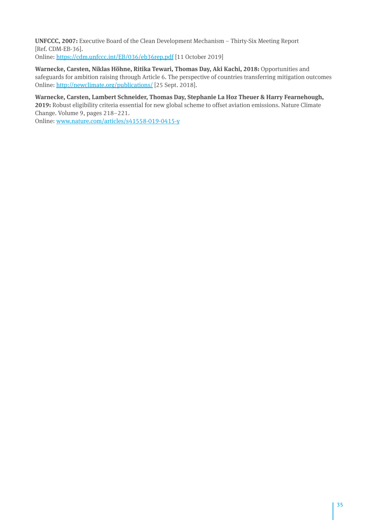**UNFCCC, 2007:** Executive Board of the Clean Development Mechanism – Thirty-Six Meeting Report [Ref. CDM-EB-36]. Online:<https://cdm.unfccc.int/EB/036/eb36rep.pdf>[11 October 2019]

Warnecke, Carsten, Niklas Höhne, Ritika Tewari, Thomas Day, Aki Kachi, 2018: Opportunities and safeguards for ambition raising through Article 6. The perspective of countries transferring mitigation outcomes Online:<http://newclimate.org/publications/> [25 Sept. 2018].

#### **Warnecke, Carsten, Lambert Schneider, Thomas Day, Stephanie La Hoz Theuer & Harry Fearnehough,**

**2019:** Robust eligibility criteria essential for new global scheme to offset aviation emissions. Nature Climate Change. Volume 9, pages 218–221.

Online: [www.nature.com/articles/s41558-019-0415-y](https://www.nature.com/articles/s41558-019-0415-y)